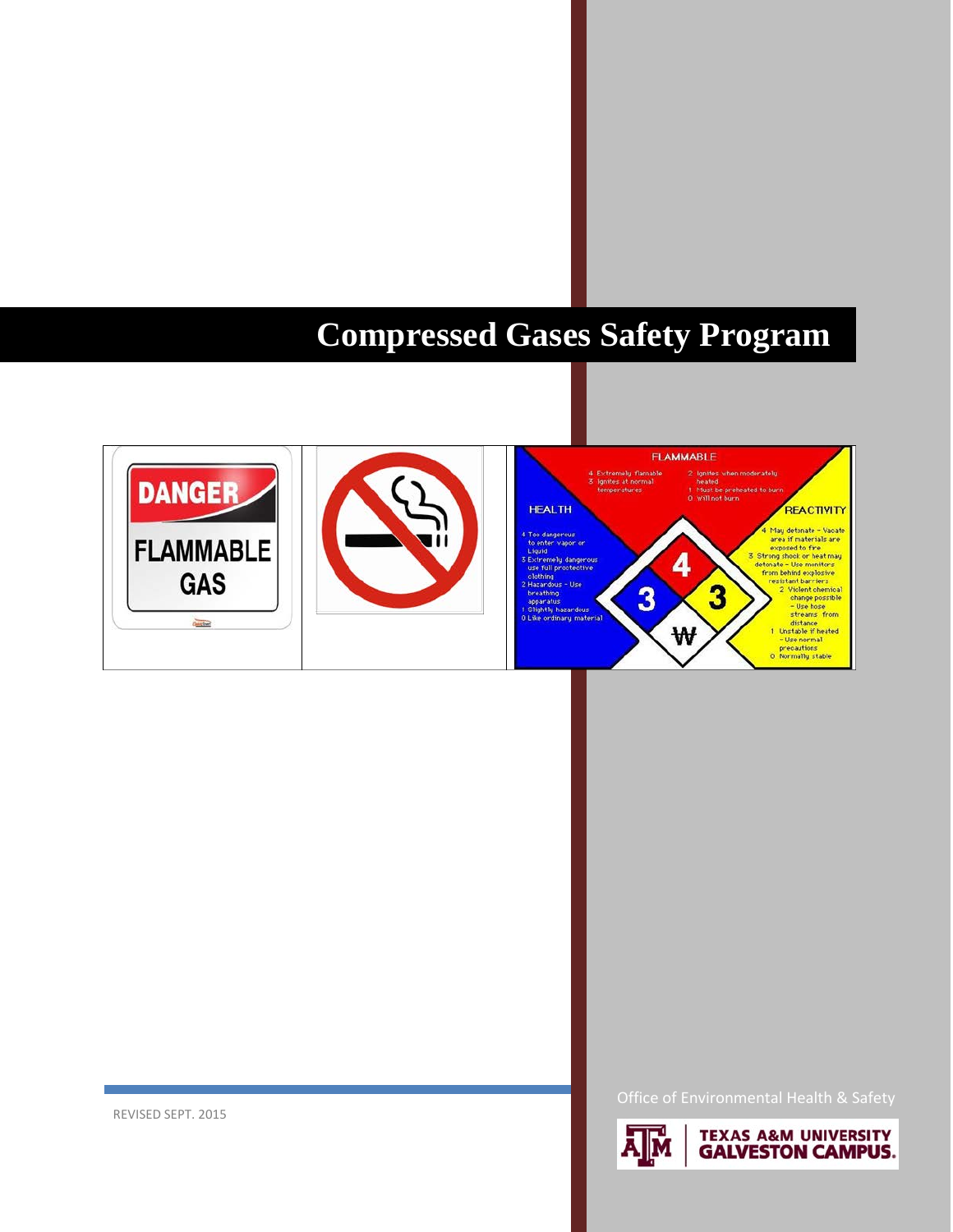# **Compressed Gases Safety Program**





**TEXAS A&M UNIVERSITY GALVESTON CAMPUS.** 

**REVISED SEPT. 2015**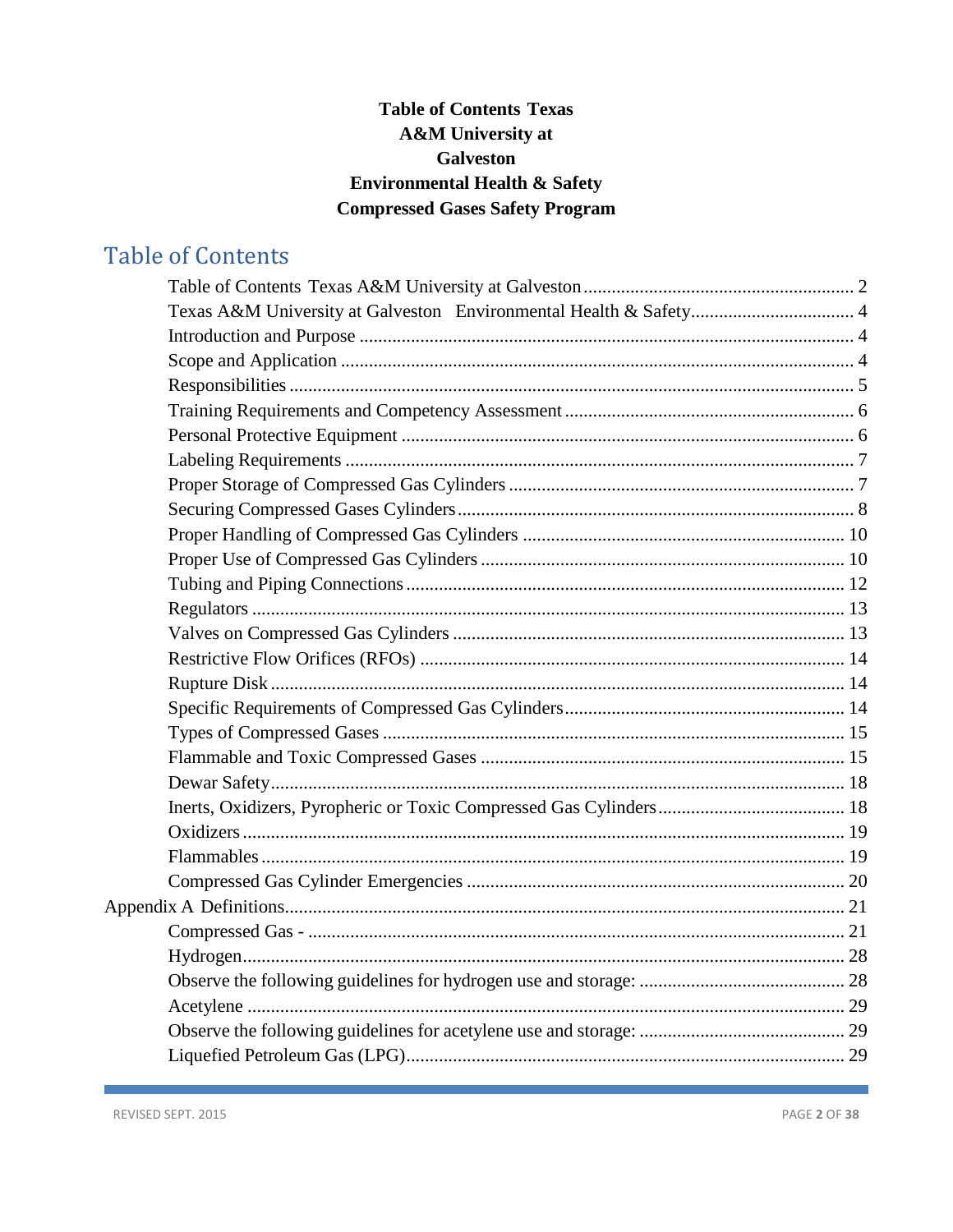# **Table of Contents Texas** A&M University at **Galveston Environmental Health & Safety Compressed Gases Safety Program**

# <span id="page-1-0"></span>**Table of Contents**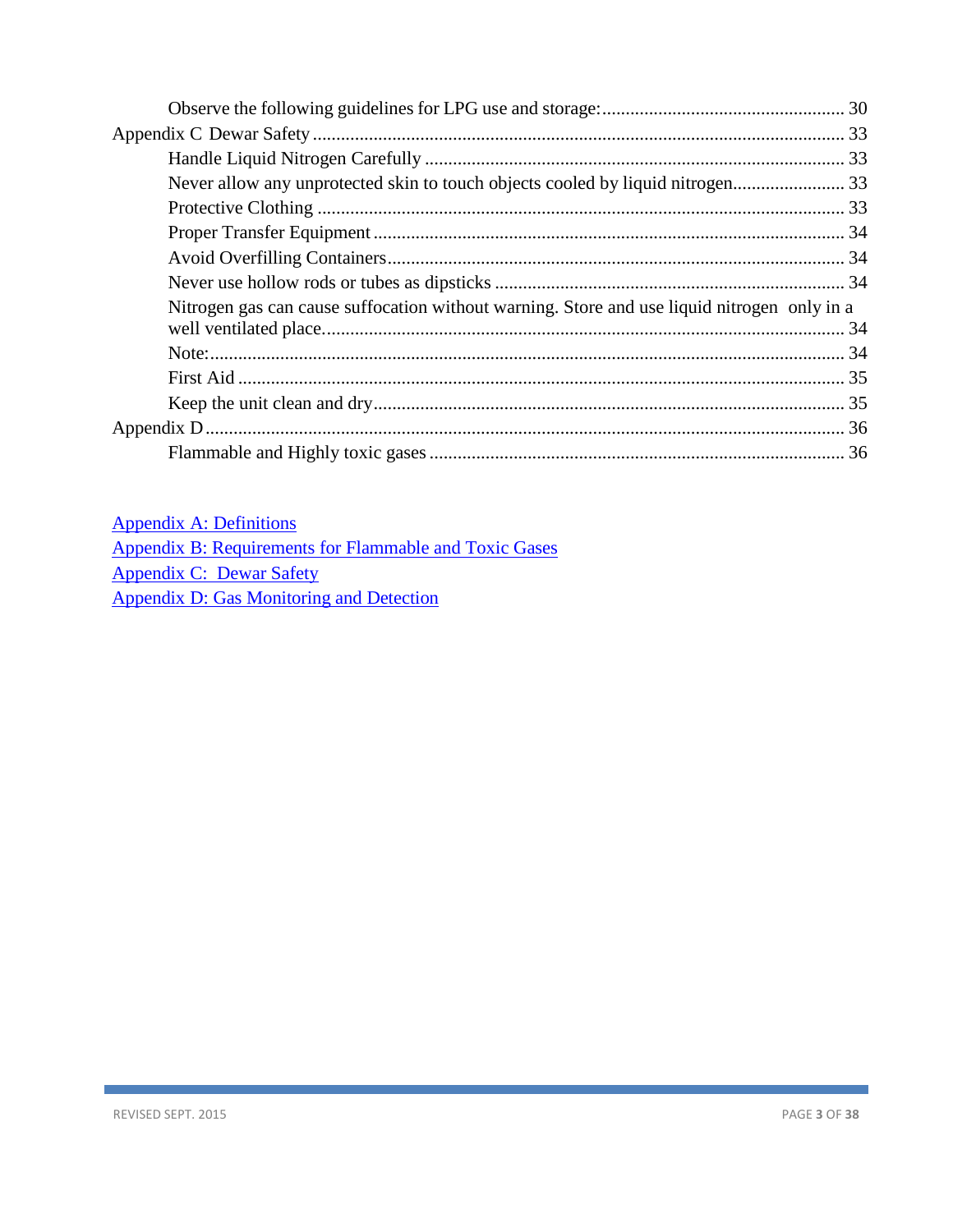| Nitrogen gas can cause suffocation without warning. Store and use liquid nitrogen only in a |  |
|---------------------------------------------------------------------------------------------|--|
|                                                                                             |  |
|                                                                                             |  |
|                                                                                             |  |
|                                                                                             |  |
|                                                                                             |  |
|                                                                                             |  |

| <b>Appendix A: Definitions</b>                         |
|--------------------------------------------------------|
| Appendix B: Requirements for Flammable and Toxic Gases |
| Appendix C: Dewar Safety                               |
| Appendix D: Gas Monitoring and Detection               |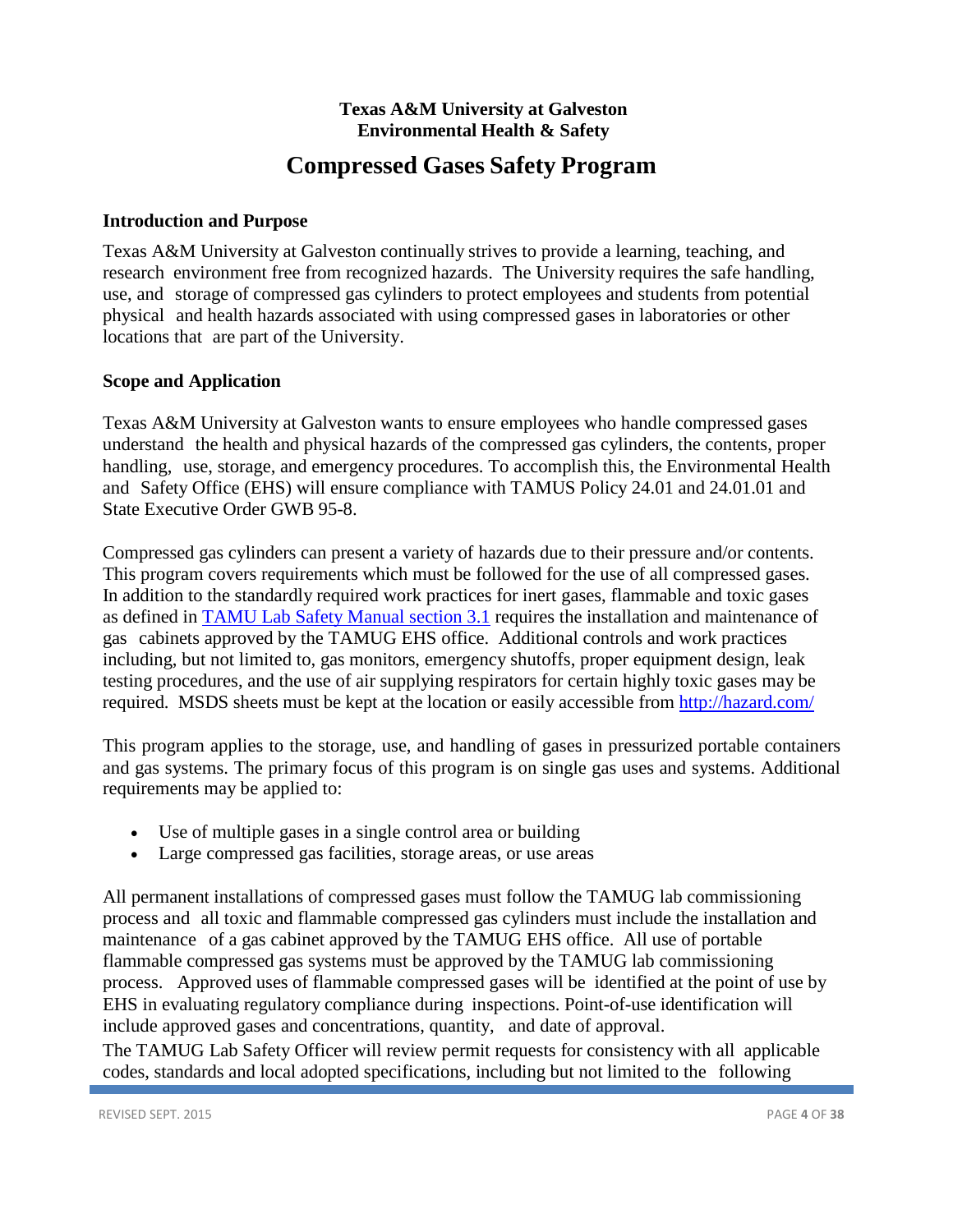# **Texas A&M University at Galveston Environmental Health & Safety**

# **Compressed Gases Safety Program**

# <span id="page-3-1"></span><span id="page-3-0"></span>**Introduction and Purpose**

Texas A&M University at Galveston continually strives to provide a learning, teaching, and research environment free from recognized hazards. The University requires the safe handling, use, and storage of compressed gas cylinders to protect employees and students from potential physical and health hazards associated with using compressed gases in laboratories or other locations that are part of the University.

# <span id="page-3-2"></span>**Scope and Application**

Texas A&M University at Galveston wants to ensure employees who handle compressed gases understand the health and physical hazards of the compressed gas cylinders, the contents, proper handling, use, storage, and emergency procedures. To accomplish this, the Environmental Health and Safety Office (EHS) will ensure compliance with TAMUS Policy 24.01 and 24.01.01 and State Executive Order GWB 95-8.

Compressed gas cylinders can present a variety of hazards due to their pressure and/or contents. This program covers requirements which must be followed for the use of all compressed gases. In addition to the standardly required work practices for inert gases, flammable and toxic gases as defined in [TAMU Lab Safety Manual section 3.1](https://ehsd.tamu.edu/Lab%20Safety%20Helpful%20Documents/TAMU%20Laboratory%20Safety%20Manual.pdf) requires the installation and maintenance of gas cabinets approved by the TAMUG EHS office. Additional controls and work practices including, but not limited to, gas monitors, emergency shutoffs, proper equipment design, leak testing procedures, and the use of air supplying respirators for certain highly toxic gases may be required. MSDS sheets must be kept at the location or easily accessible from<http://hazard.com/>

This program applies to the storage, use, and handling of gases in pressurized portable containers and gas systems. The primary focus of this program is on single gas uses and systems. Additional requirements may be applied to:

- Use of multiple gases in a single control area or building
- Large compressed gas facilities, storage areas, or use areas

All permanent installations of compressed gases must follow the TAMUG lab commissioning process and all toxic and flammable compressed gas cylinders must include the installation and maintenance of a gas cabinet approved by the TAMUG EHS office. All use of portable flammable compressed gas systems must be approved by the TAMUG lab commissioning process. Approved uses of flammable compressed gases will be identified at the point of use by EHS in evaluating regulatory compliance during inspections. Point-of-use identification will include approved gases and concentrations, quantity, and date of approval.

The TAMUG Lab Safety Officer will review permit requests for consistency with all applicable codes, standards and local adopted specifications, including but not limited to the following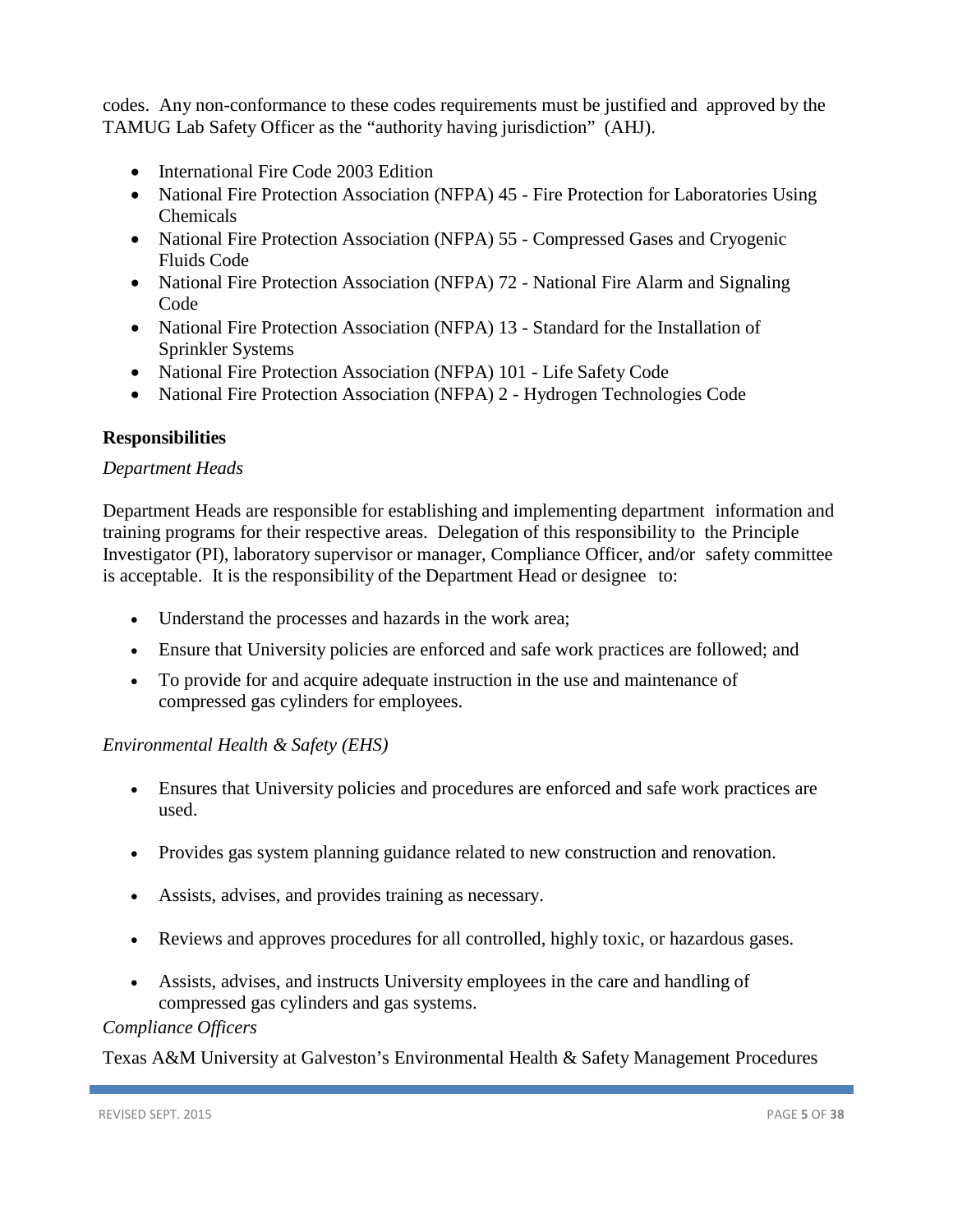codes. Any non-conformance to these codes requirements must be justified and approved by the TAMUG Lab Safety Officer as the "authority having jurisdiction" (AHJ).

- International Fire Code 2003 Edition
- National Fire Protection Association (NFPA) 45 Fire Protection for Laboratories Using Chemicals
- National Fire Protection Association (NFPA) 55 Compressed Gases and Cryogenic Fluids Code
- National Fire Protection Association (NFPA) 72 National Fire Alarm and Signaling Code
- National Fire Protection Association (NFPA) 13 Standard for the Installation of Sprinkler Systems
- National Fire Protection Association (NFPA) 101 Life Safety Code
- National Fire Protection Association (NFPA) 2 Hydrogen Technologies Code

### <span id="page-4-0"></span>**Responsibilities**

### *Department Heads*

Department Heads are responsible for establishing and implementing department information and training programs for their respective areas. Delegation of this responsibility to the Principle Investigator (PI), laboratory supervisor or manager, Compliance Officer, and/or safety committee is acceptable. It is the responsibility of the Department Head or designee to:

- Understand the processes and hazards in the work area;
- Ensure that University policies are enforced and safe work practices are followed; and
- To provide for and acquire adequate instruction in the use and maintenance of compressed gas cylinders for employees.

### *Environmental Health & Safety (EHS)*

- Ensures that University policies and procedures are enforced and safe work practices are used.
- Provides gas system planning guidance related to new construction and renovation.
- Assists, advises, and provides training as necessary.
- Reviews and approves procedures for all controlled, highly toxic, or hazardous gases.
- Assists, advises, and instructs University employees in the care and handling of compressed gas cylinders and gas systems.

## *Compliance Officers*

Texas A&M University at Galveston's Environmental Health & Safety Management Procedures

REVISED SEPT. 2015 **PAGE 5** OF 38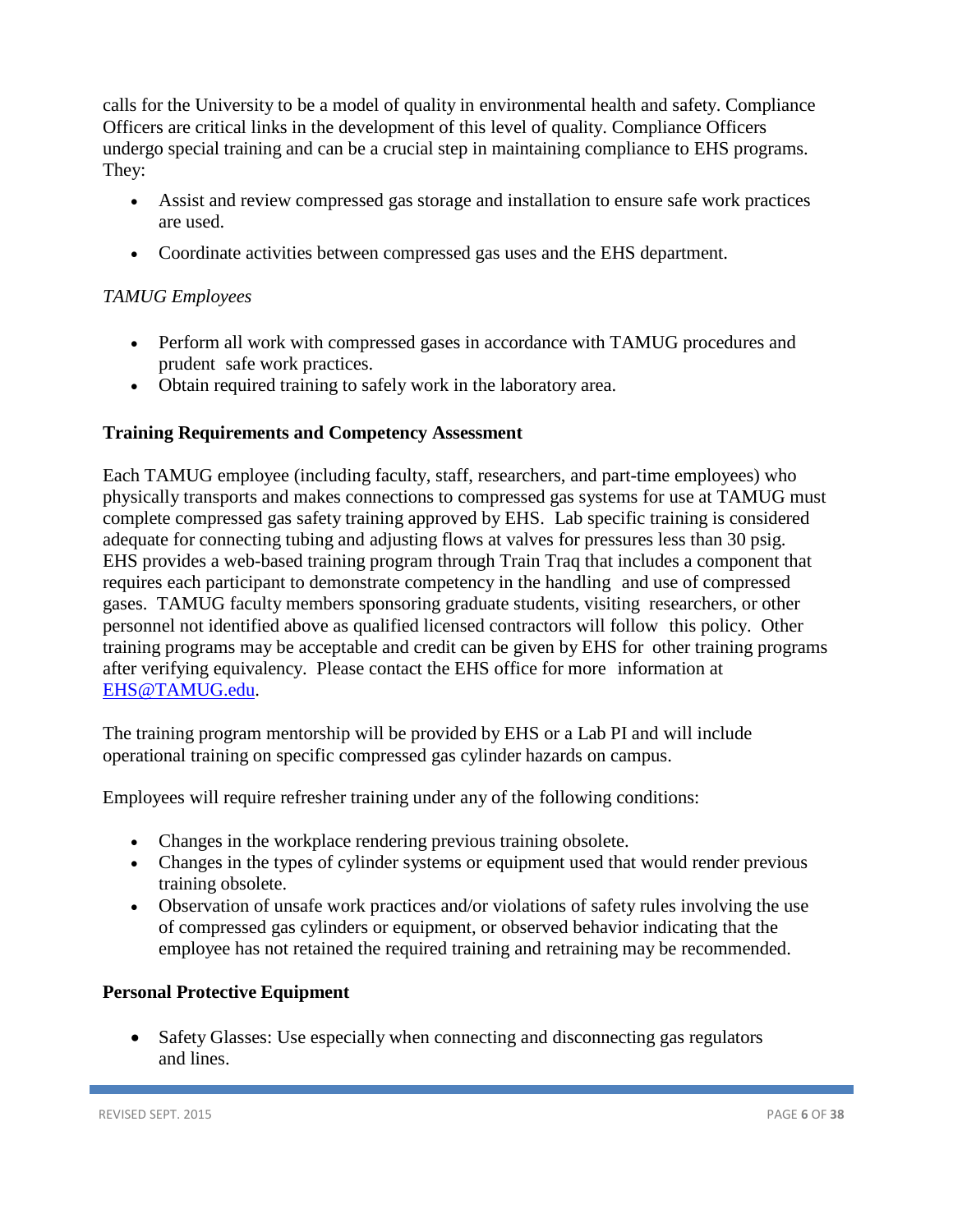calls for the University to be a model of quality in environmental health and safety. Compliance Officers are critical links in the development of this level of quality. Compliance Officers undergo special training and can be a crucial step in maintaining compliance to EHS programs. They:

- Assist and review compressed gas storage and installation to ensure safe work practices are used.
- Coordinate activities between compressed gas uses and the EHS department.

# *TAMUG Employees*

- Perform all work with compressed gases in accordance with TAMUG procedures and prudent safe work practices.
- Obtain required training to safely work in the laboratory area.

# <span id="page-5-0"></span>**Training Requirements and Competency Assessment**

Each TAMUG employee (including faculty, staff, researchers, and part-time employees) who physically transports and makes connections to compressed gas systems for use at TAMUG must complete compressed gas safety training approved by EHS. Lab specific training is considered adequate for connecting tubing and adjusting flows at valves for pressures less than 30 psig. EHS provides a web-based training program through Train Traq that includes a component that requires each participant to demonstrate competency in the handling and use of compressed gases. TAMUG faculty members sponsoring graduate students, visiting researchers, or other personnel not identified above as qualified licensed contractors will follow this policy. Other training programs may be acceptable and credit can be given by EHS for other training programs after verifying equivalency. Please contact the EHS office for more information at [EHS@TAMUG.edu.](mailto:EHS@asu.edu)

The training program mentorship will be provided by EHS or a Lab PI and will include operational training on specific compressed gas cylinder hazards on campus.

Employees will require refresher training under any of the following conditions:

- Changes in the workplace rendering previous training obsolete.
- Changes in the types of cylinder systems or equipment used that would render previous training obsolete.
- Observation of unsafe work practices and/or violations of safety rules involving the use of compressed gas cylinders or equipment, or observed behavior indicating that the employee has not retained the required training and retraining may be recommended.

### <span id="page-5-1"></span>**Personal Protective Equipment**

• Safety Glasses: Use especially when connecting and disconnecting gas regulators and lines.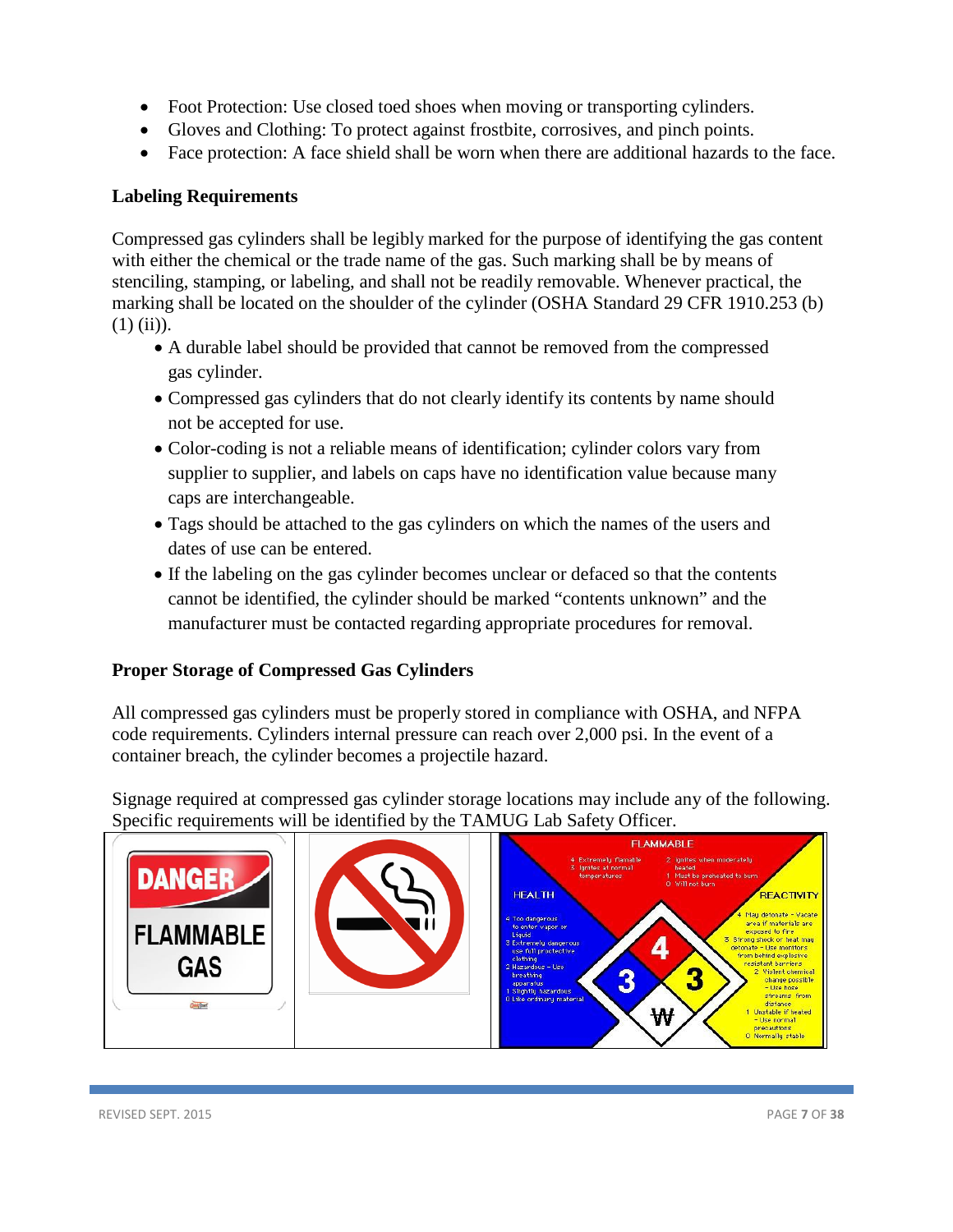- Foot Protection: Use closed toed shoes when moving or transporting cylinders.
- Gloves and Clothing: To protect against frostbite, corrosives, and pinch points.
- Face protection: A face shield shall be worn when there are additional hazards to the face.

# <span id="page-6-0"></span>**Labeling Requirements**

Compressed gas cylinders shall be legibly marked for the purpose of identifying the gas content with either the chemical or the trade name of the gas. Such marking shall be by means of stenciling, stamping, or labeling, and shall not be readily removable. Whenever practical, the marking shall be located on the shoulder of the cylinder (OSHA Standard 29 CFR 1910.253 (b)  $(1)$  (ii)).

- A durable label should be provided that cannot be removed from the compressed gas cylinder.
- Compressed gas cylinders that do not clearly identify its contents by name should not be accepted for use.
- Color-coding is not a reliable means of identification; cylinder colors vary from supplier to supplier, and labels on caps have no identification value because many caps are interchangeable.
- Tags should be attached to the gas cylinders on which the names of the users and dates of use can be entered.
- If the labeling on the gas cylinder becomes unclear or defaced so that the contents cannot be identified, the cylinder should be marked "contents unknown" and the manufacturer must be contacted regarding appropriate procedures for removal.

# <span id="page-6-1"></span>**Proper Storage of Compressed Gas Cylinders**

All compressed gas cylinders must be properly stored in compliance with OSHA, and NFPA code requirements. Cylinders internal pressure can reach over 2,000 psi. In the event of a container breach, the cylinder becomes a projectile hazard.

Signage required at compressed gas cylinder storage locations may include any of the following. Specific requirements will be identified by the TAMUG Lab Safety Officer.

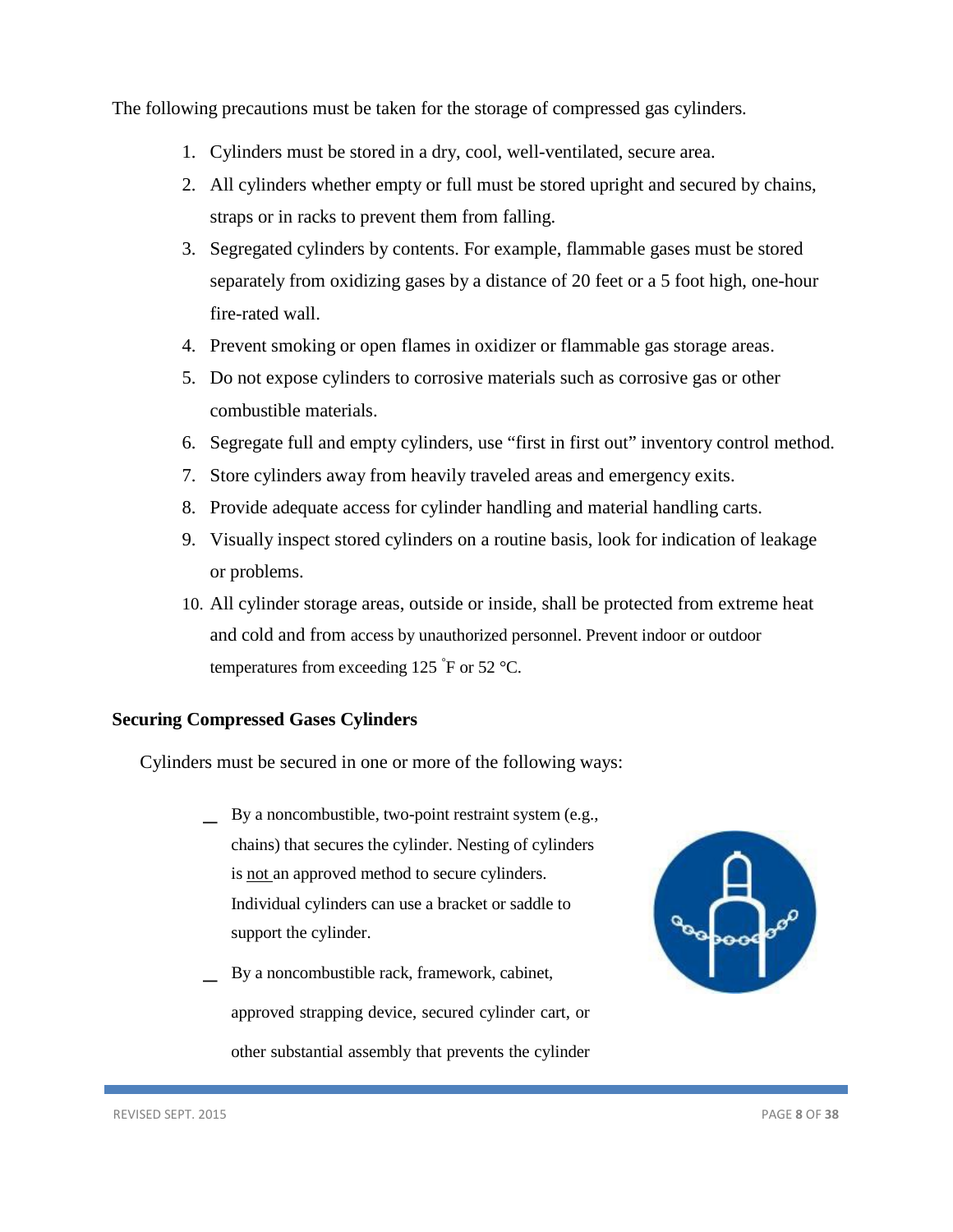The following precautions must be taken for the storage of compressed gas cylinders.

- 1. Cylinders must be stored in a dry, cool, well-ventilated, secure area.
- 2. All cylinders whether empty or full must be stored upright and secured by chains, straps or in racks to prevent them from falling.
- 3. Segregated cylinders by contents. For example, flammable gases must be stored separately from oxidizing gases by a distance of 20 feet or a 5 foot high, one-hour fire-rated wall.
- 4. Prevent smoking or open flames in oxidizer or flammable gas storage areas.
- 5. Do not expose cylinders to corrosive materials such as corrosive gas or other combustible materials.
- 6. Segregate full and empty cylinders, use "first in first out" inventory control method.
- 7. Store cylinders away from heavily traveled areas and emergency exits.
- 8. Provide adequate access for cylinder handling and material handling carts.
- 9. Visually inspect stored cylinders on a routine basis, look for indication of leakage or problems.
- 10. All cylinder storage areas, outside or inside, shall be protected from extreme heat and cold and from access by unauthorized personnel. Prevent indoor or outdoor temperatures from exceeding 125  $\degree$ F or 52  $\degree$ C.

## <span id="page-7-0"></span>**Securing Compressed Gases Cylinders**

Cylinders must be secured in one or more of the following ways:

- \_ By a noncombustible, two-point restraint system (e.g., chains) that secures the cylinder. Nesting of cylinders is not an approved method to secure cylinders. Individual cylinders can use a bracket or saddle to support the cylinder.
- \_ By a noncombustible rack, framework, cabinet, approved strapping device, secured cylinder cart, or other substantial assembly that prevents the cylinder

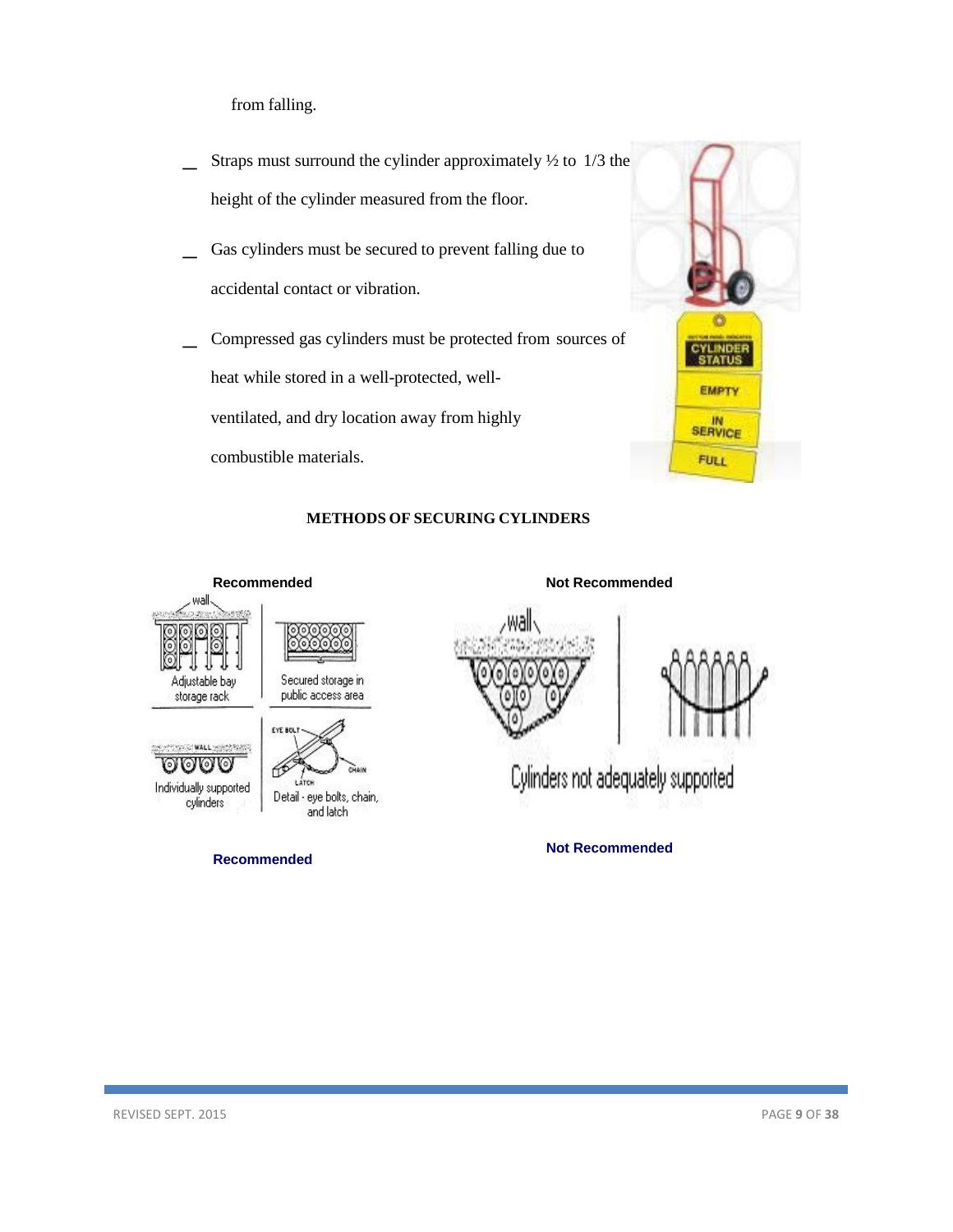from falling.

- Straps must surround the cylinder approximately  $\frac{1}{2}$  to 1/3 the height of the cylinder measured from the floor.
- Gas cylinders must be secured to prevent falling due to accidental contact or vibration.
- \_ Compressed gas cylinders must be protected from sources of heat while stored in a well-protected, well-

ventilated, and dry location away from highly

combustible materials.



#### **METHODS OF SECURING CYLINDERS**

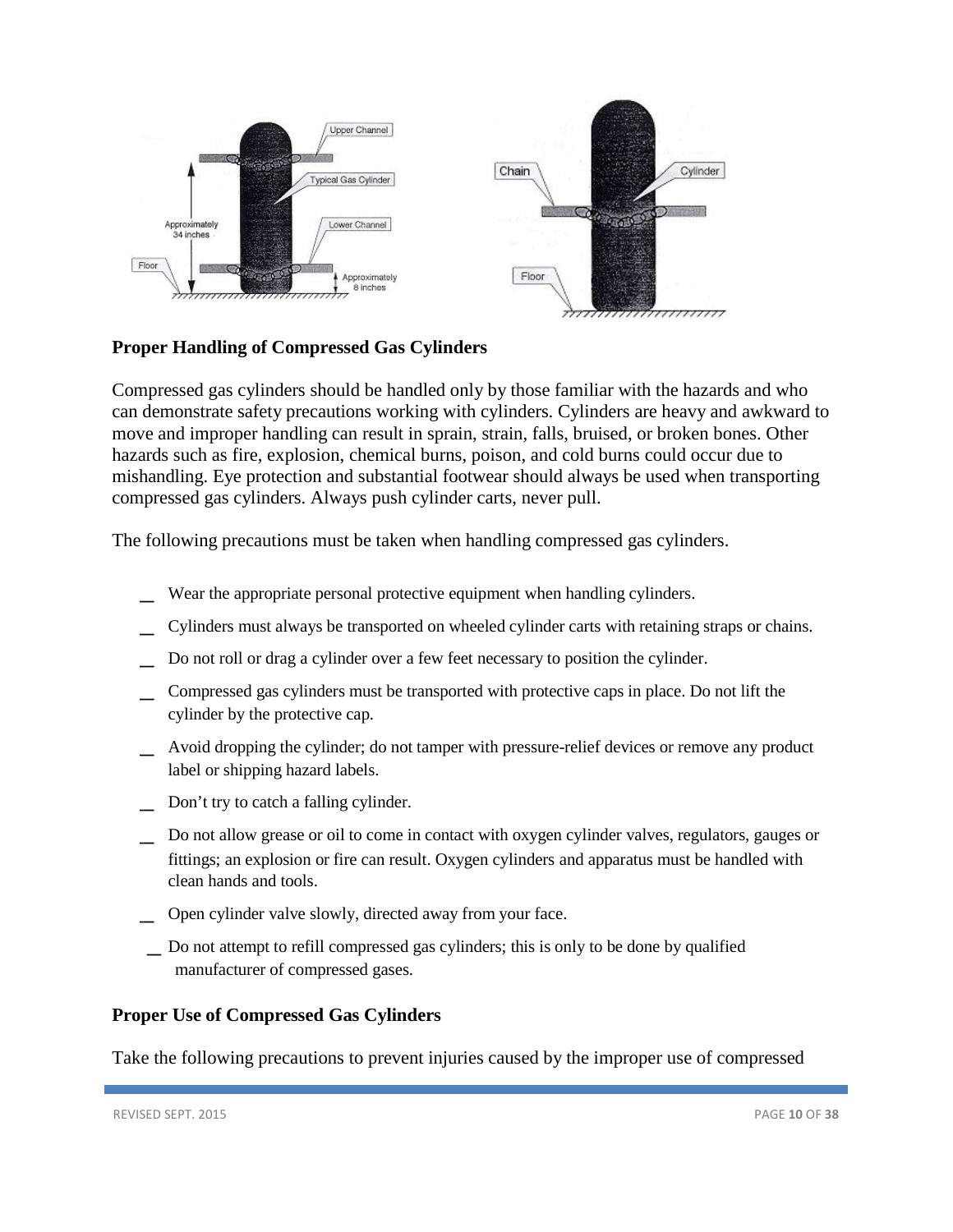

# <span id="page-9-0"></span>**Proper Handling of Compressed Gas Cylinders**

Compressed gas cylinders should be handled only by those familiar with the hazards and who can demonstrate safety precautions working with cylinders. Cylinders are heavy and awkward to move and improper handling can result in sprain, strain, falls, bruised, or broken bones. Other hazards such as fire, explosion, chemical burns, poison, and cold burns could occur due to mishandling. Eye protection and substantial footwear should always be used when transporting compressed gas cylinders. Always push cylinder carts, never pull.

The following precautions must be taken when handling compressed gas cylinders.

- Wear the appropriate personal protective equipment when handling cylinders.
- \_ Cylinders must always be transported on wheeled cylinder carts with retaining straps or chains.
- \_ Do not roll or drag a cylinder over <sup>a</sup> few feet necessary to position the cylinder.
- Compressed gas cylinders must be transported with protective caps in place. Do not lift the cylinder by the protective cap.
- \_ Avoid dropping the cylinder; do not tamper with pressure-relief devices or remove any product label or shipping hazard labels.
- Don't try to catch a falling cylinder.
- \_ Do not allow grease or oil to come in contact with oxygen cylinder valves, regulators, gauges or fittings; an explosion or fire can result. Oxygen cylinders and apparatus must be handled with clean hands and tools.
- \_ Open cylinder valve slowly, directed away from your face.
- \_ Do not attempt to refill compressed gas cylinders; this is only to be done by qualified manufacturer of compressed gases.

### <span id="page-9-1"></span>**Proper Use of Compressed Gas Cylinders**

Take the following precautions to prevent injuries caused by the improper use of compressed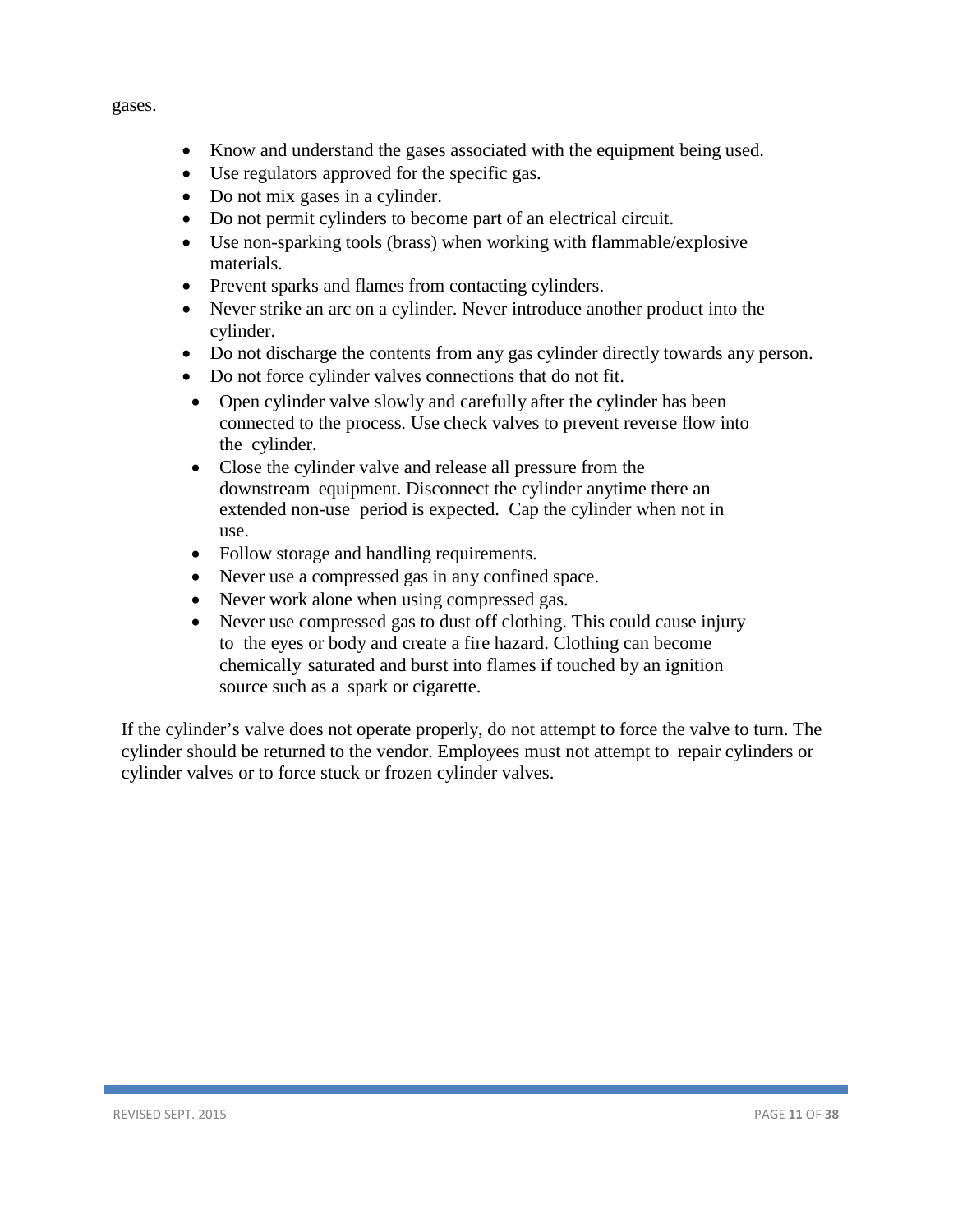gases.

- Know and understand the gases associated with the equipment being used.
- Use regulators approved for the specific gas.
- Do not mix gases in a cylinder.
- Do not permit cylinders to become part of an electrical circuit.
- Use non-sparking tools (brass) when working with flammable/explosive materials.
- Prevent sparks and flames from contacting cylinders.
- Never strike an arc on a cylinder. Never introduce another product into the cylinder.
- Do not discharge the contents from any gas cylinder directly towards any person.
- Do not force cylinder valves connections that do not fit.
- Open cylinder valve slowly and carefully after the cylinder has been connected to the process. Use check valves to prevent reverse flow into the cylinder.
- Close the cylinder valve and release all pressure from the downstream equipment. Disconnect the cylinder anytime there an extended non-use period is expected. Cap the cylinder when not in use.
- Follow storage and handling requirements.
- Never use a compressed gas in any confined space.
- Never work alone when using compressed gas.
- Never use compressed gas to dust off clothing. This could cause injury to the eyes or body and create a fire hazard. Clothing can become chemically saturated and burst into flames if touched by an ignition source such as a spark or cigarette.

If the cylinder's valve does not operate properly, do not attempt to force the valve to turn. The cylinder should be returned to the vendor. Employees must not attempt to repair cylinders or cylinder valves or to force stuck or frozen cylinder valves.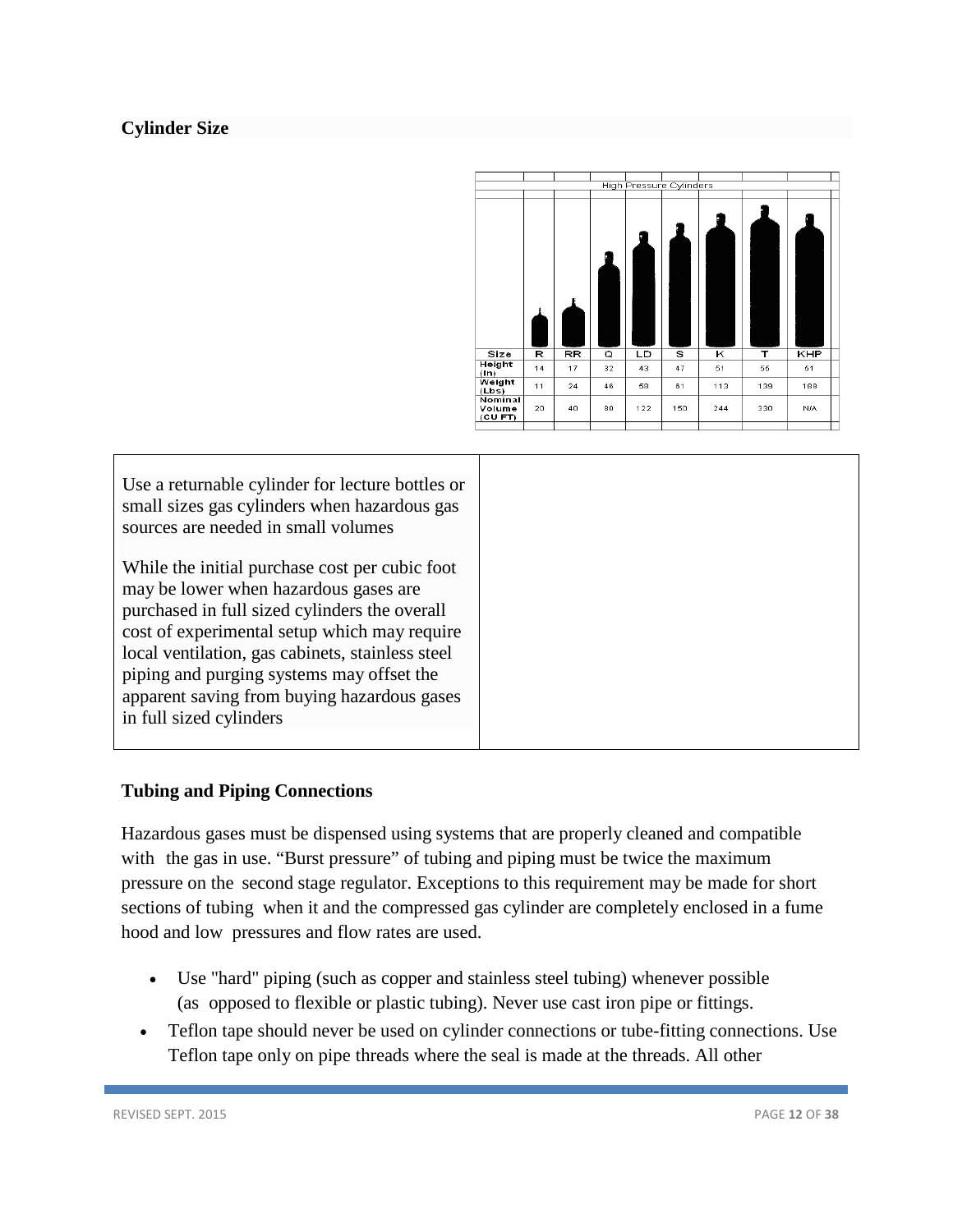# **Cylinder Size**



| Use a returnable cylinder for lecture bottles or<br>small sizes gas cylinders when hazardous gas<br>sources are needed in small volumes                                                                                                                                                                                                                             |
|---------------------------------------------------------------------------------------------------------------------------------------------------------------------------------------------------------------------------------------------------------------------------------------------------------------------------------------------------------------------|
| While the initial purchase cost per cubic foot<br>may be lower when hazardous gases are<br>purchased in full sized cylinders the overall<br>cost of experimental setup which may require<br>local ventilation, gas cabinets, stainless steel<br>piping and purging systems may offset the<br>apparent saving from buying hazardous gases<br>in full sized cylinders |
|                                                                                                                                                                                                                                                                                                                                                                     |

# <span id="page-11-0"></span>**Tubing and Piping Connections**

Hazardous gases must be dispensed using systems that are properly cleaned and compatible with the gas in use. "Burst pressure" of tubing and piping must be twice the maximum pressure on the second stage regulator. Exceptions to this requirement may be made for short sections of tubing when it and the compressed gas cylinder are completely enclosed in a fume hood and low pressures and flow rates are used.

- Use "hard" piping (such as copper and stainless steel tubing) whenever possible (as opposed to flexible or plastic tubing). Never use cast iron pipe or fittings.
- Teflon tape should never be used on cylinder connections or tube-fitting connections. Use Teflon tape only on pipe threads where the seal is made at the threads. All other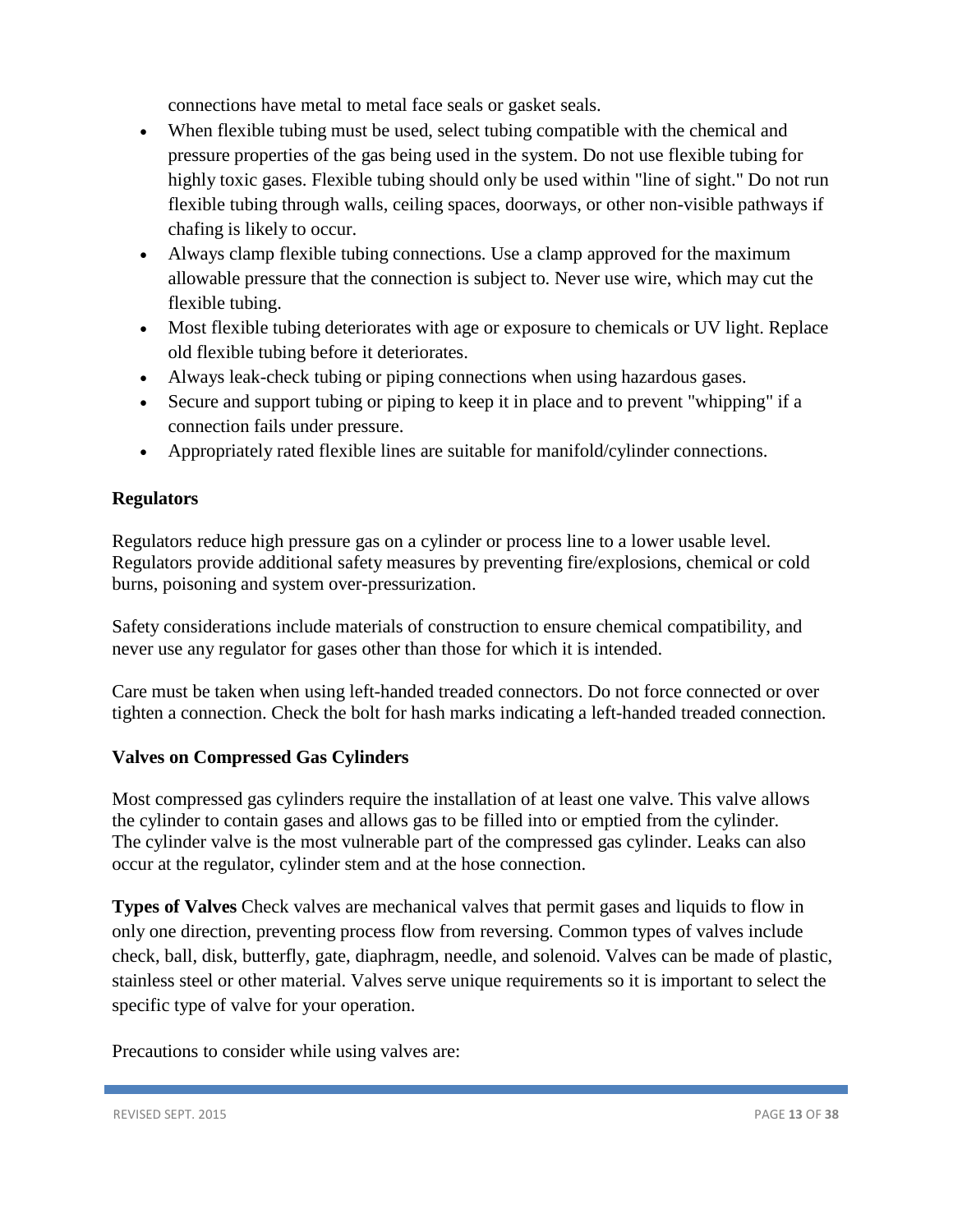connections have metal to metal face seals or gasket seals.

- When flexible tubing must be used, select tubing compatible with the chemical and pressure properties of the gas being used in the system. Do not use flexible tubing for highly toxic gases. Flexible tubing should only be used within "line of sight." Do not run flexible tubing through walls, ceiling spaces, doorways, or other non-visible pathways if chafing is likely to occur.
- Always clamp flexible tubing connections. Use a clamp approved for the maximum allowable pressure that the connection is subject to. Never use wire, which may cut the flexible tubing.
- Most flexible tubing deteriorates with age or exposure to chemicals or UV light. Replace old flexible tubing before it deteriorates.
- Always leak-check tubing or piping connections when using hazardous gases.
- Secure and support tubing or piping to keep it in place and to prevent "whipping" if a connection fails under pressure.
- Appropriately rated flexible lines are suitable for manifold/cylinder connections.

# <span id="page-12-0"></span>**Regulators**

Regulators reduce high pressure gas on a cylinder or process line to a lower usable level. Regulators provide additional safety measures by preventing fire/explosions, chemical or cold burns, poisoning and system over-pressurization.

Safety considerations include materials of construction to ensure chemical compatibility, and never use any regulator for gases other than those for which it is intended.

Care must be taken when using left-handed treaded connectors. Do not force connected or over tighten a connection. Check the bolt for hash marks indicating a left-handed treaded connection.

# <span id="page-12-1"></span>**Valves on Compressed Gas Cylinders**

Most compressed gas cylinders require the installation of at least one valve. This valve allows the cylinder to contain gases and allows gas to be filled into or emptied from the cylinder. The cylinder valve is the most vulnerable part of the compressed gas cylinder. Leaks can also occur at the regulator, cylinder stem and at the hose connection.

**Types of Valves** Check valves are mechanical valves that permit gases and liquids to flow in only one direction, preventing process flow from reversing. Common types of valves include check, ball, disk, butterfly, gate, diaphragm, needle, and solenoid. Valves can be made of plastic, stainless steel or other material. Valves serve unique requirements so it is important to select the specific type of valve for your operation.

Precautions to consider while using valves are: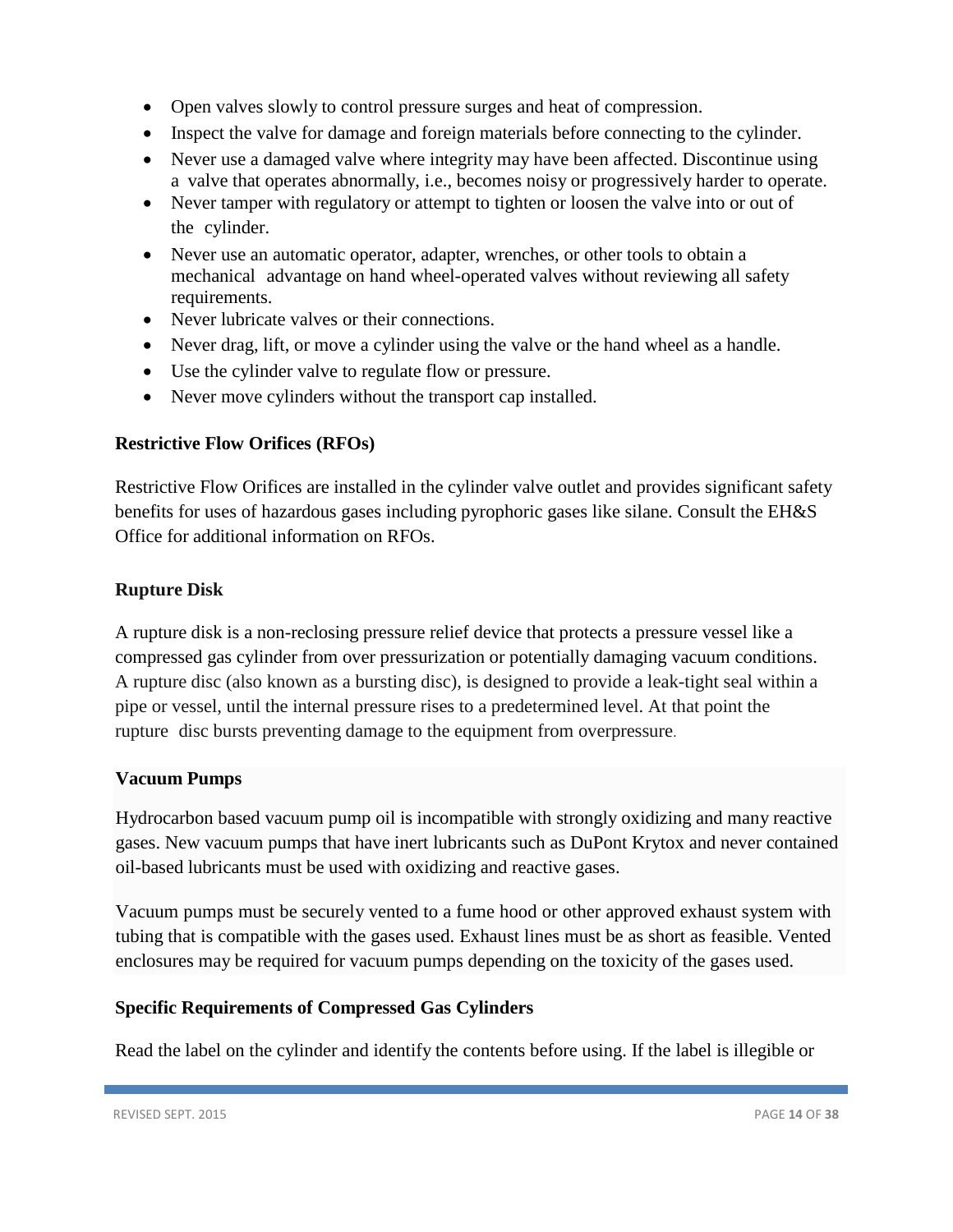- Open valves slowly to control pressure surges and heat of compression.
- Inspect the valve for damage and foreign materials before connecting to the cylinder.
- Never use a damaged valve where integrity may have been affected. Discontinue using a valve that operates abnormally, i.e., becomes noisy or progressively harder to operate.
- Never tamper with regulatory or attempt to tighten or loosen the valve into or out of the cylinder.
- Never use an automatic operator, adapter, wrenches, or other tools to obtain a mechanical advantage on hand wheel-operated valves without reviewing all safety requirements.
- Never lubricate valves or their connections.
- Never drag, lift, or move a cylinder using the valve or the hand wheel as a handle.
- Use the cylinder valve to regulate flow or pressure.
- Never move cylinders without the transport cap installed.

# <span id="page-13-0"></span>**Restrictive Flow Orifices (RFOs)**

Restrictive Flow Orifices are installed in the cylinder valve outlet and provides significant safety benefits for uses of hazardous gases including pyrophoric gases like silane. Consult the EH&S Office for additional information on RFOs.

# <span id="page-13-1"></span>**Rupture Disk**

A rupture disk is a non-reclosing pressure relief device that protects a pressure vessel like a compressed gas cylinder from over pressurization or potentially damaging vacuum conditions. A rupture disc (also known as a bursting disc), is designed to provide a leak-tight seal within a pipe or vessel, until the internal pressure rises to a predetermined level. At that point the rupture disc bursts preventing damage to the equipment from overpressure.

# **Vacuum Pumps**

Hydrocarbon based vacuum pump oil is incompatible with strongly oxidizing and many reactive gases. New vacuum pumps that have inert lubricants such as DuPont Krytox and never contained oil-based lubricants must be used with oxidizing and reactive gases.

Vacuum pumps must be securely vented to a fume hood or other approved exhaust system with tubing that is compatible with the gases used. Exhaust lines must be as short as feasible. Vented enclosures may be required for vacuum pumps depending on the toxicity of the gases used.

# <span id="page-13-2"></span>**Specific Requirements of Compressed Gas Cylinders**

Read the label on the cylinder and identify the contents before using. If the label is illegible or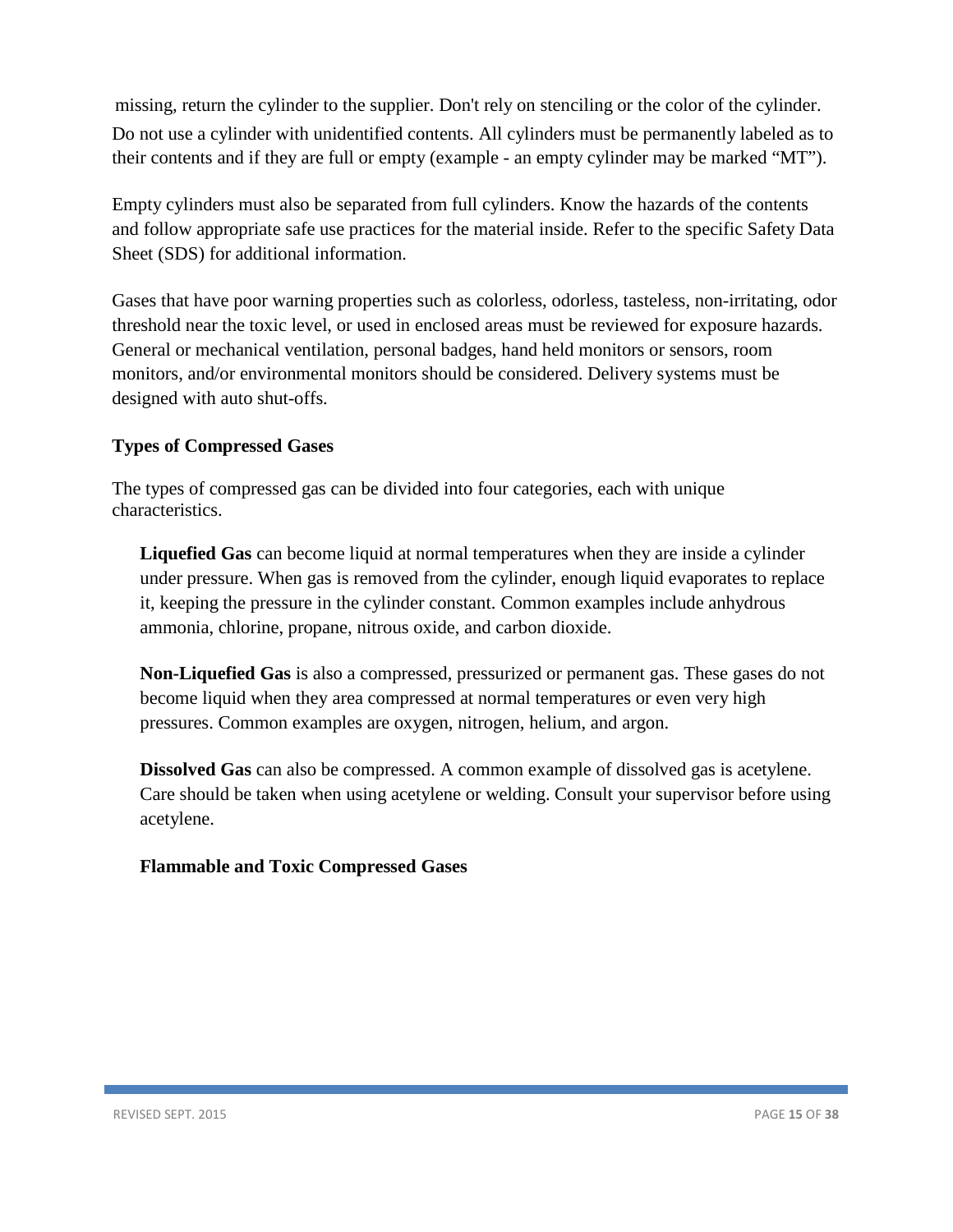missing, return the cylinder to the supplier. Don't rely on stenciling or the color of the cylinder. Do not use a cylinder with unidentified contents. All cylinders must be permanently labeled as to their contents and if they are full or empty (example - an empty cylinder may be marked "MT").

Empty cylinders must also be separated from full cylinders. Know the hazards of the contents and follow appropriate safe use practices for the material inside. Refer to the specific Safety Data Sheet (SDS) for additional information.

Gases that have poor warning properties such as colorless, odorless, tasteless, non-irritating, odor threshold near the toxic level, or used in enclosed areas must be reviewed for exposure hazards. General or mechanical ventilation, personal badges, hand held monitors or sensors, room monitors, and/or environmental monitors should be considered. Delivery systems must be designed with auto shut-offs.

# <span id="page-14-0"></span>**Types of Compressed Gases**

The types of compressed gas can be divided into four categories, each with unique characteristics.

**Liquefied Gas** can become liquid at normal temperatures when they are inside a cylinder under pressure. When gas is removed from the cylinder, enough liquid evaporates to replace it, keeping the pressure in the cylinder constant. Common examples include anhydrous ammonia, chlorine, propane, nitrous oxide, and carbon dioxide.

**Non-Liquefied Gas** is also a compressed, pressurized or permanent gas. These gases do not become liquid when they area compressed at normal temperatures or even very high pressures. Common examples are oxygen, nitrogen, helium, and argon.

**Dissolved Gas** can also be compressed. A common example of dissolved gas is acetylene. Care should be taken when using acetylene or welding. Consult your supervisor before using acetylene.

# <span id="page-14-1"></span>**Flammable and Toxic Compressed Gases**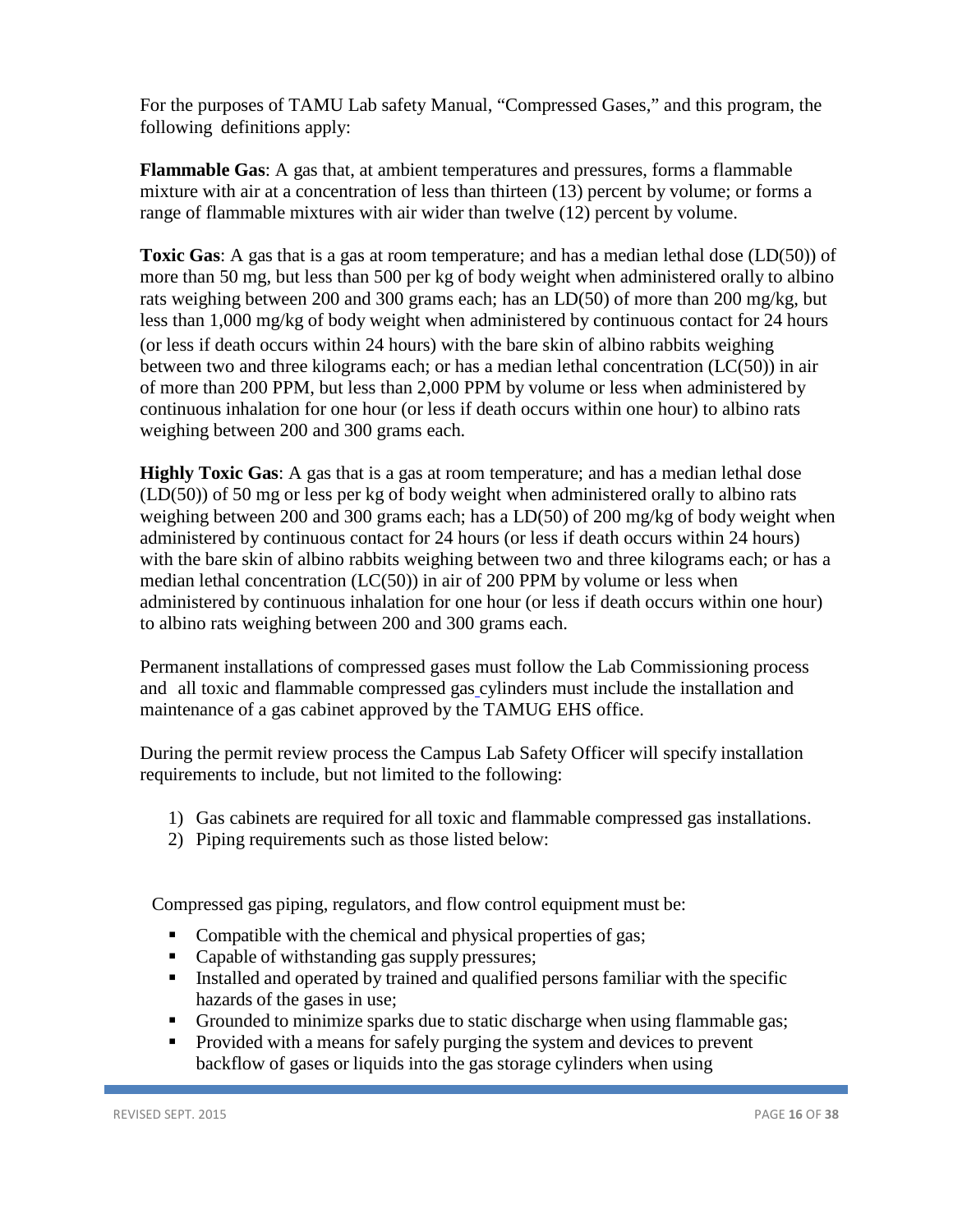For the purposes of TAMU Lab safety Manual, "Compressed Gases," and this program, the following definitions apply:

**Flammable Gas**: A gas that, at ambient temperatures and pressures, forms a flammable mixture with air at a concentration of less than thirteen (13) percent by volume; or forms a range of flammable mixtures with air wider than twelve (12) percent by volume.

**Toxic Gas:** A gas that is a gas at room temperature; and has a median lethal dose (LD(50)) of more than 50 mg, but less than 500 per kg of body weight when administered orally to albino rats weighing between 200 and 300 grams each; has an LD(50) of more than 200 mg/kg, but less than 1,000 mg/kg of body weight when administered by continuous contact for 24 hours (or less if death occurs within 24 hours) with the bare skin of albino rabbits weighing between two and three kilograms each; or has a median lethal concentration (LC(50)) in air of more than 200 PPM, but less than 2,000 PPM by volume or less when administered by continuous inhalation for one hour (or less if death occurs within one hour) to albino rats weighing between 200 and 300 grams each.

**Highly Toxic Gas**: A gas that is a gas at room temperature; and has a median lethal dose (LD(50)) of 50 mg or less per kg of body weight when administered orally to albino rats weighing between 200 and 300 grams each; has a LD(50) of 200 mg/kg of body weight when administered by continuous contact for 24 hours (or less if death occurs within 24 hours) with the bare skin of albino rabbits weighing between two and three kilograms each; or has a median lethal concentration (LC(50)) in air of 200 PPM by volume or less when administered by continuous inhalation for one hour (or less if death occurs within one hour) to albino rats weighing between 200 and 300 grams each.

Permanent installations of compressed gases must follow the Lab Commissioning process and all toxic and flammable compressed gas cylinders must include the installation and maintenance of a gas cabinet approved by the TAMUG EHS office.

During the permit review process the Campus Lab Safety Officer will specify installation requirements to include, but not limited to the following:

- 1) Gas cabinets are required for all toxic and flammable compressed gas installations.
- 2) Piping requirements such as those listed below:

Compressed gas piping, regulators, and flow control equipment must be:

- Compatible with the chemical and physical properties of gas;
- Capable of withstanding gas supply pressures;
- Installed and operated by trained and qualified persons familiar with the specific hazards of the gases in use;
- Grounded to minimize sparks due to static discharge when using flammable gas;
- Provided with a means for safely purging the system and devices to prevent backflow of gases or liquids into the gas storage cylinders when using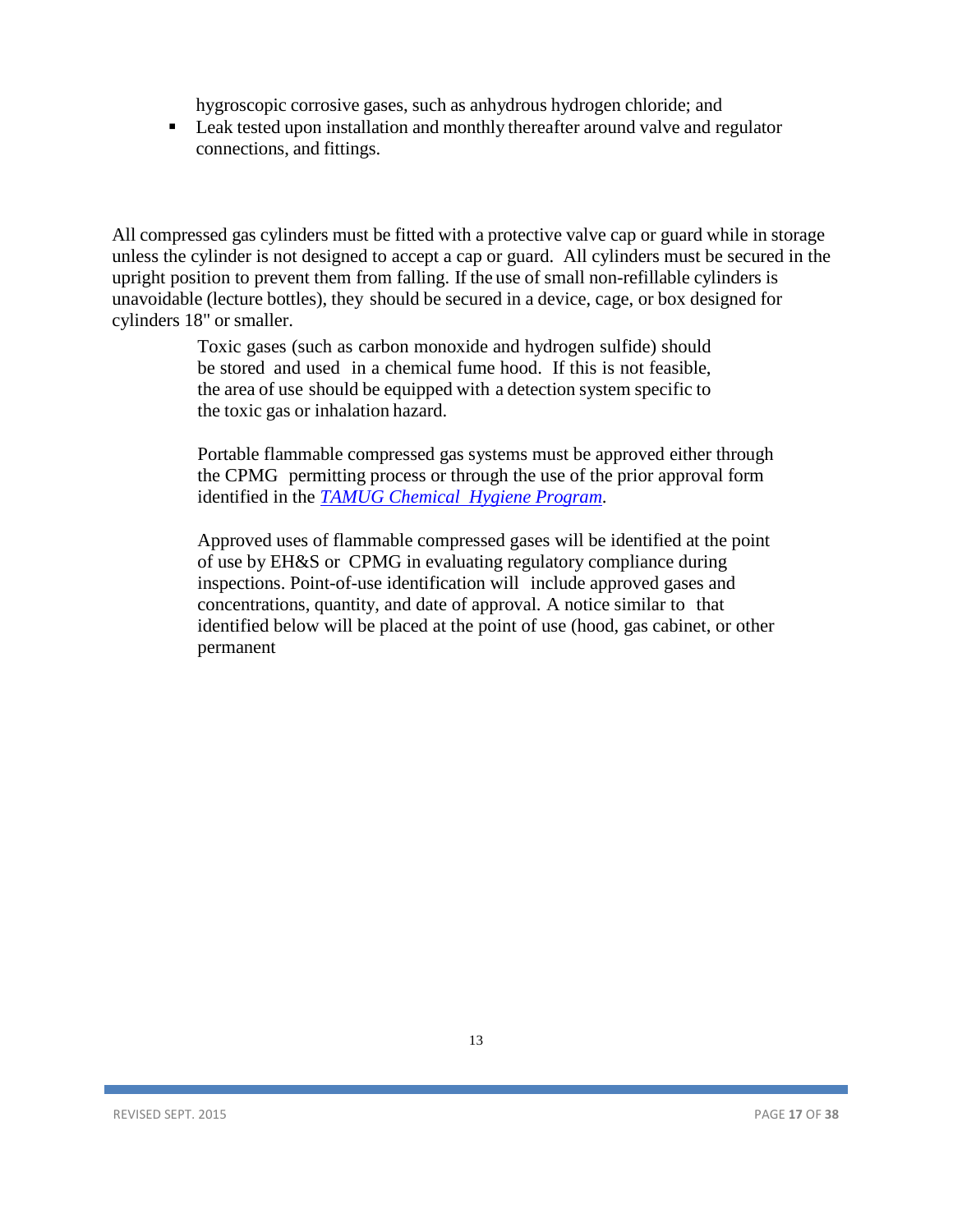hygroscopic corrosive gases, such as anhydrous hydrogen chloride; and

 Leak tested upon installation and monthly thereafter around valve and regulator connections, and fittings.

All compressed gas cylinders must be fitted with a protective valve cap or guard while in storage unless the cylinder is not designed to accept a cap or guard. All cylinders must be secured in the upright position to prevent them from falling. If the use of small non-refillable cylinders is unavoidable (lecture bottles), they should be secured in a device, cage, or box designed for cylinders 18" or smaller.

> Toxic gases (such as carbon monoxide and hydrogen sulfide) should be stored and used in a chemical fume hood. If this is not feasible, the area of use should be equipped with a detection system specific to the toxic gas or inhalation hazard.

Portable flammable compressed gas systems must be approved either through the CPMG permitting process or through the use of the prior approval form identified in the *TAMUG [Chemical Hygiene](http://www.tamug.edu/EnvironmentalHealthSafety/Lab%20Research%20Safety%20/Chemical_Safety.html) Program*.

Approved uses of flammable compressed gases will be identified at the point of use by EH&S or CPMG in evaluating regulatory compliance during inspections. Point-of-use identification will include approved gases and concentrations, quantity, and date of approval. A notice similar to that identified below will be placed at the point of use (hood, gas cabinet, or other permanent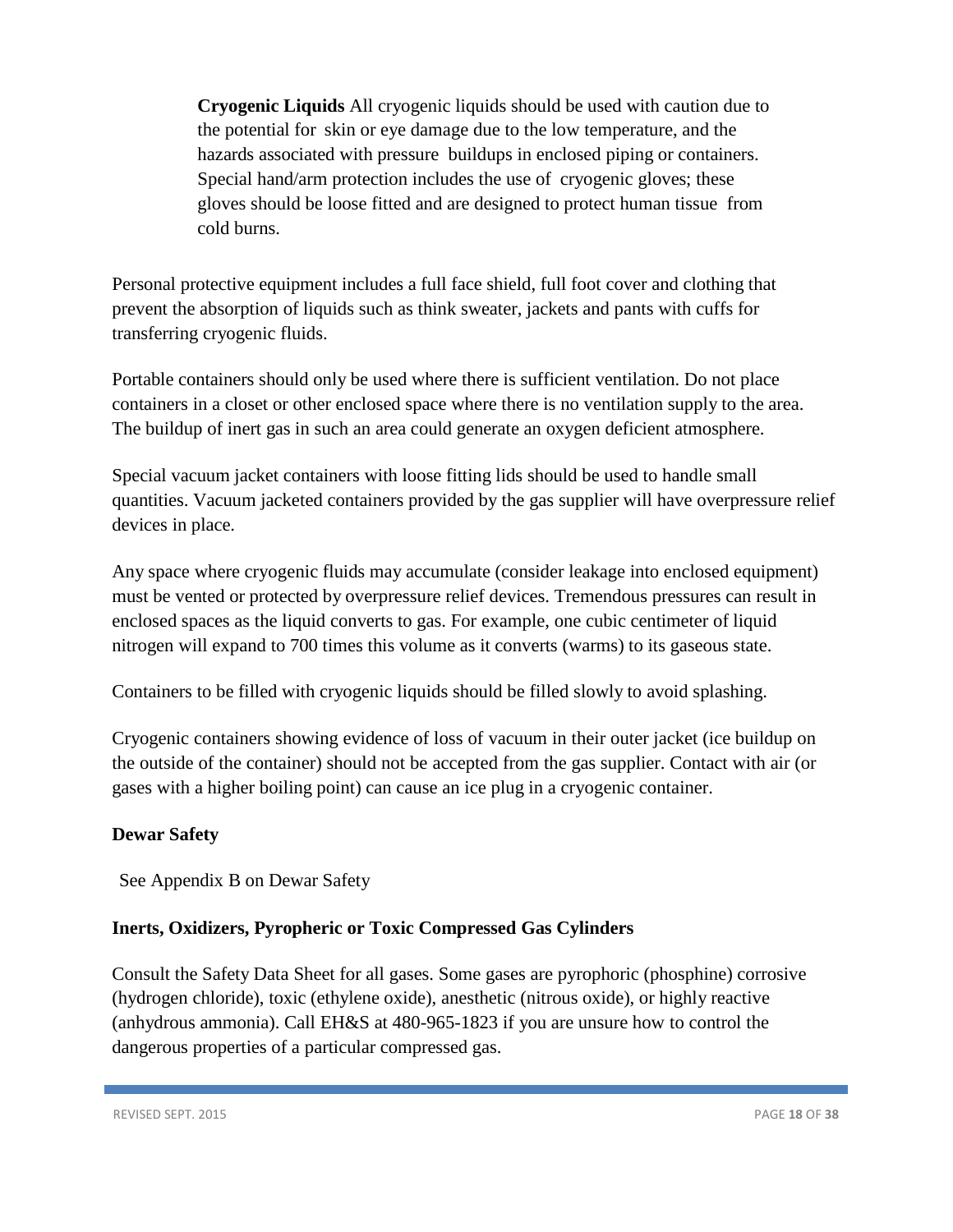**Cryogenic Liquids** All cryogenic liquids should be used with caution due to the potential for skin or eye damage due to the low temperature, and the hazards associated with pressure buildups in enclosed piping or containers. Special hand/arm protection includes the use of cryogenic gloves; these gloves should be loose fitted and are designed to protect human tissue from cold burns.

Personal protective equipment includes a full face shield, full foot cover and clothing that prevent the absorption of liquids such as think sweater, jackets and pants with cuffs for transferring cryogenic fluids.

Portable containers should only be used where there is sufficient ventilation. Do not place containers in a closet or other enclosed space where there is no ventilation supply to the area. The buildup of inert gas in such an area could generate an oxygen deficient atmosphere.

Special vacuum jacket containers with loose fitting lids should be used to handle small quantities. Vacuum jacketed containers provided by the gas supplier will have overpressure relief devices in place.

Any space where cryogenic fluids may accumulate (consider leakage into enclosed equipment) must be vented or protected by overpressure relief devices. Tremendous pressures can result in enclosed spaces as the liquid converts to gas. For example, one cubic centimeter of liquid nitrogen will expand to 700 times this volume as it converts (warms) to its gaseous state.

Containers to be filled with cryogenic liquids should be filled slowly to avoid splashing.

Cryogenic containers showing evidence of loss of vacuum in their outer jacket (ice buildup on the outside of the container) should not be accepted from the gas supplier. Contact with air (or gases with a higher boiling point) can cause an ice plug in a cryogenic container.

# <span id="page-17-0"></span>**Dewar Safety**

See Appendix B on Dewar Safety

# <span id="page-17-1"></span>**Inerts, Oxidizers, Pyropheric or Toxic Compressed Gas Cylinders**

Consult the Safety Data Sheet for all gases. Some gases are pyrophoric (phosphine) corrosive (hydrogen chloride), toxic (ethylene oxide), anesthetic (nitrous oxide), or highly reactive (anhydrous ammonia). Call EH&S at 480-965-1823 if you are unsure how to control the dangerous properties of a particular compressed gas.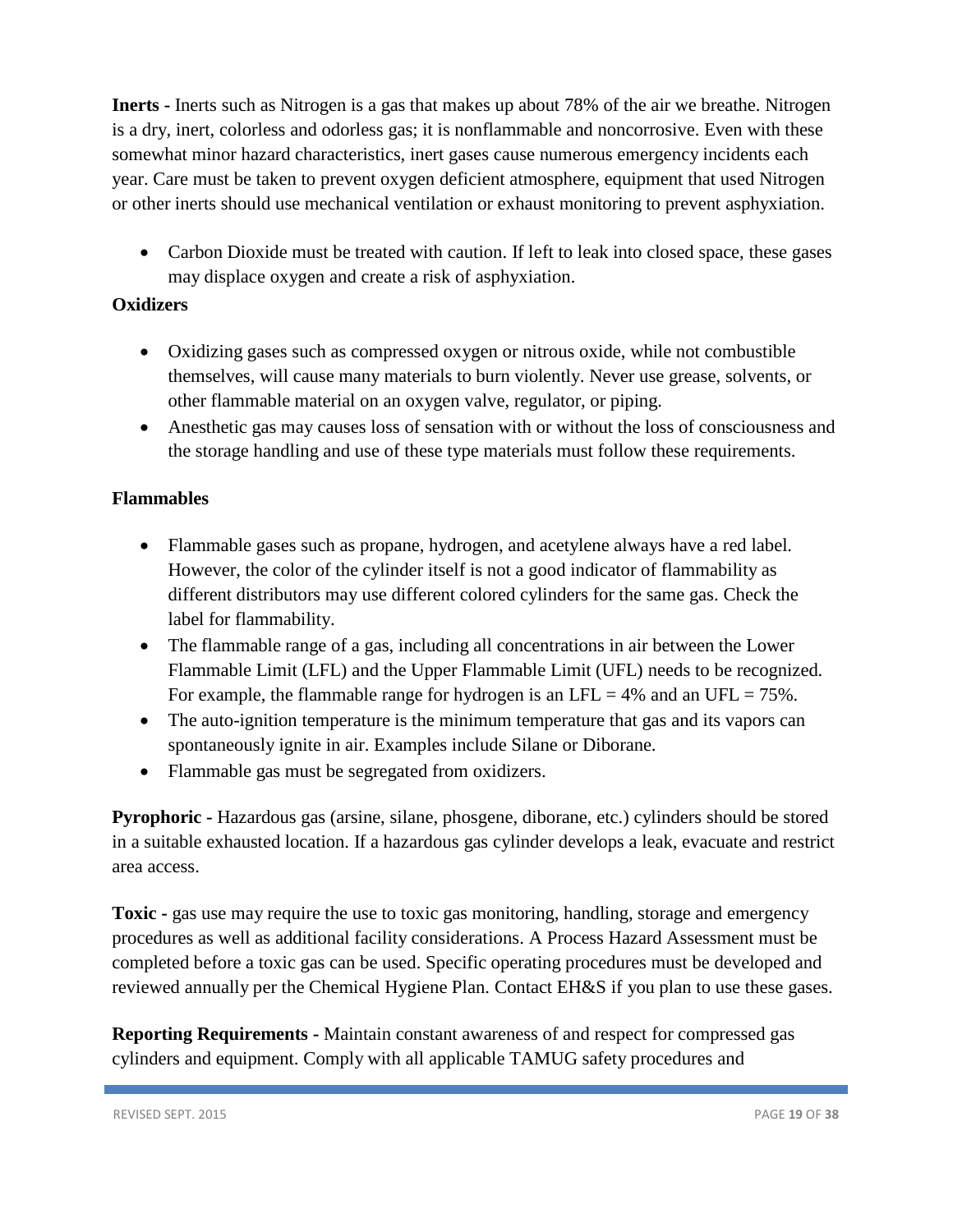**Inerts -** Inerts such as Nitrogen is a gas that makes up about 78% of the air we breathe. Nitrogen is a dry, inert, colorless and odorless gas; it is nonflammable and noncorrosive. Even with these somewhat minor hazard characteristics, inert gases cause numerous emergency incidents each year. Care must be taken to prevent oxygen deficient atmosphere, equipment that used Nitrogen or other inerts should use mechanical ventilation or exhaust monitoring to prevent asphyxiation.

• Carbon Dioxide must be treated with caution. If left to leak into closed space, these gases may displace oxygen and create a risk of asphyxiation.

# <span id="page-18-0"></span>**Oxidizers**

- Oxidizing gases such as compressed oxygen or nitrous oxide, while not combustible themselves, will cause many materials to burn violently. Never use grease, solvents, or other flammable material on an oxygen valve, regulator, or piping.
- Anesthetic gas may causes loss of sensation with or without the loss of consciousness and the storage handling and use of these type materials must follow these requirements.

# <span id="page-18-1"></span>**Flammables**

- Flammable gases such as propane, hydrogen, and acetylene always have a red label. However, the color of the cylinder itself is not a good indicator of flammability as different distributors may use different colored cylinders for the same gas. Check the label for flammability.
- The flammable range of a gas, including all concentrations in air between the Lower Flammable Limit (LFL) and the Upper Flammable Limit (UFL) needs to be recognized. For example, the flammable range for hydrogen is an LFL = 4% and an UFL =  $75\%$ .
- The auto-ignition temperature is the minimum temperature that gas and its vapors can spontaneously ignite in air. Examples include Silane or Diborane.
- Flammable gas must be segregated from oxidizers.

**Pyrophoric -** Hazardous gas (arsine, silane, phosgene, diborane, etc.) cylinders should be stored in a suitable exhausted location. If a hazardous gas cylinder develops a leak, evacuate and restrict area access.

**Toxic -** gas use may require the use to toxic gas monitoring, handling, storage and emergency procedures as well as additional facility considerations. A Process Hazard Assessment must be completed before a toxic gas can be used. Specific operating procedures must be developed and reviewed annually per the Chemical Hygiene Plan. Contact EH&S if you plan to use these gases.

**Reporting Requirements -** Maintain constant awareness of and respect for compressed gas cylinders and equipment. Comply with all applicable TAMUG safety procedures and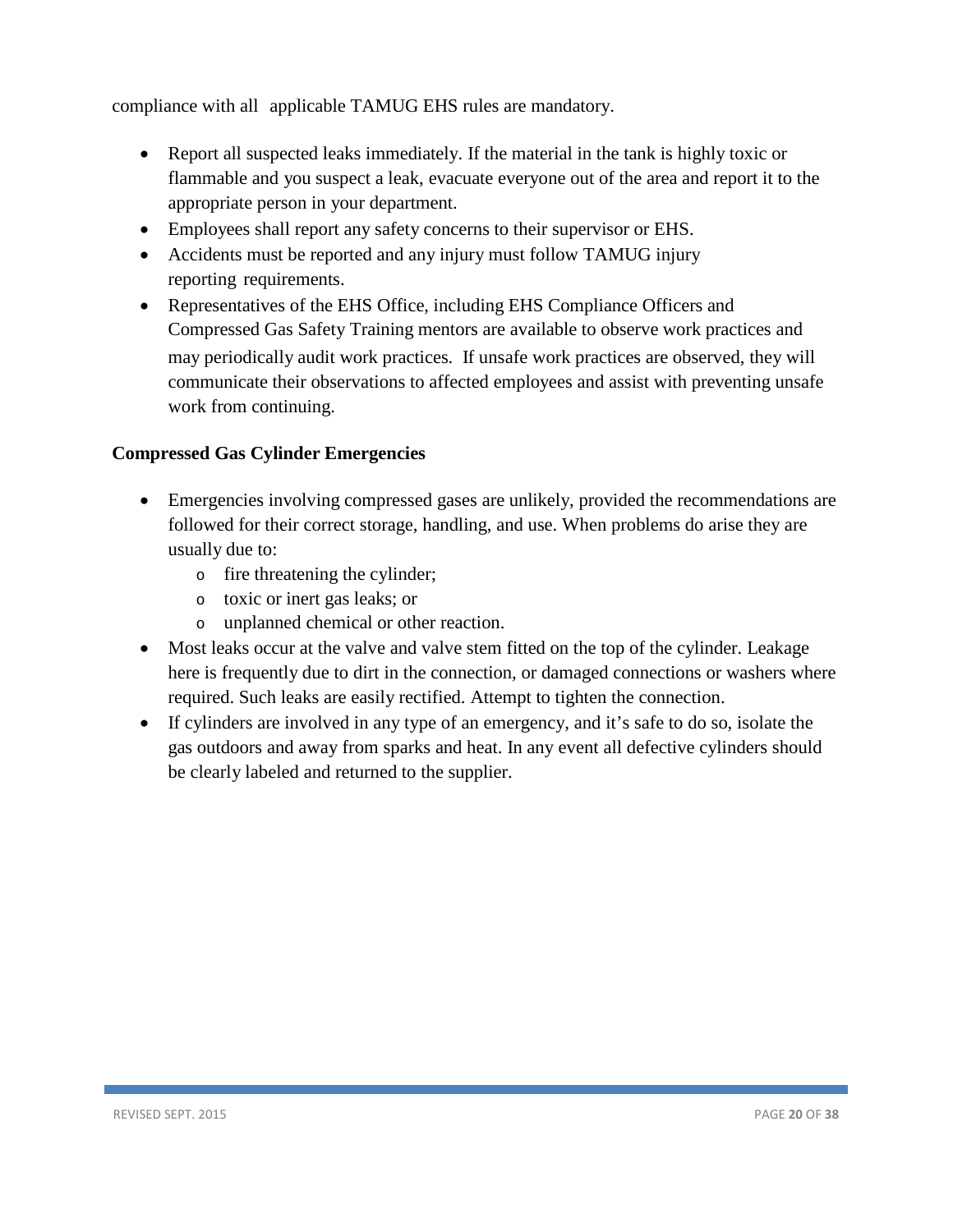compliance with all applicable TAMUG EHS rules are mandatory.

- Report all suspected leaks immediately. If the material in the tank is highly toxic or flammable and you suspect a leak, evacuate everyone out of the area and report it to the appropriate person in your department.
- Employees shall report any safety concerns to their supervisor or EHS.
- Accidents must be reported and any injury must follow TAMUG injury reporting requirements.
- Representatives of the EHS Office, including EHS Compliance Officers and Compressed Gas Safety Training mentors are available to observe work practices and may periodically audit work practices. If unsafe work practices are observed, they will communicate their observations to affected employees and assist with preventing unsafe work from continuing.

# <span id="page-19-0"></span>**Compressed Gas Cylinder Emergencies**

- Emergencies involving compressed gases are unlikely, provided the recommendations are followed for their correct storage, handling, and use. When problems do arise they are usually due to:
	- o fire threatening the cylinder;
	- o toxic or inert gas leaks; or
	- o unplanned chemical or other reaction.
- Most leaks occur at the valve and valve stem fitted on the top of the cylinder. Leakage here is frequently due to dirt in the connection, or damaged connections or washers where required. Such leaks are easily rectified. Attempt to tighten the connection.
- If cylinders are involved in any type of an emergency, and it's safe to do so, isolate the gas outdoors and away from sparks and heat. In any event all defective cylinders should be clearly labeled and returned to the supplier.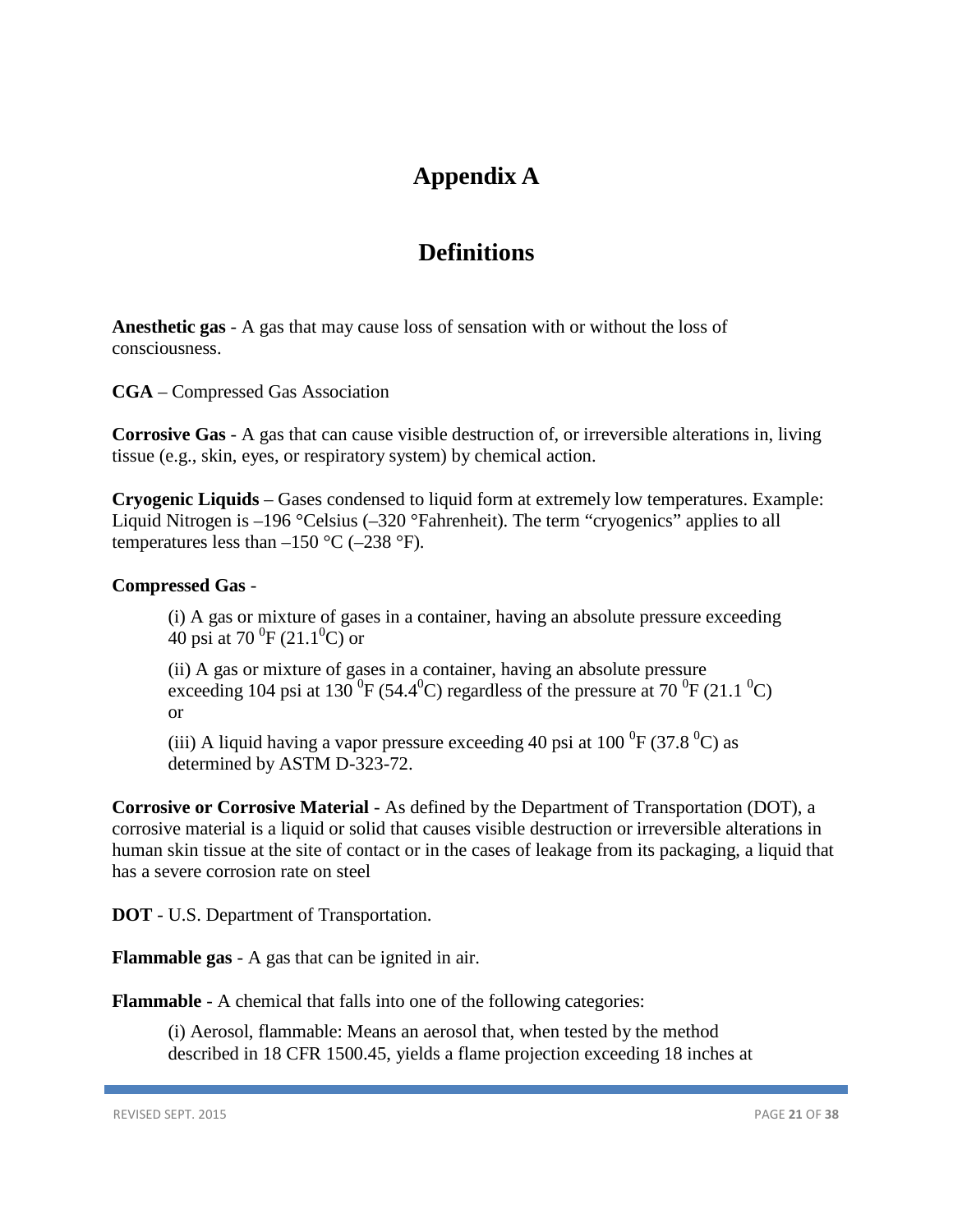# **Appendix A**

# **Definitions**

<span id="page-20-0"></span>**Anesthetic gas** - A gas that may cause loss of sensation with or without the loss of consciousness.

**CGA** – Compressed Gas Association

**Corrosive Gas** - A gas that can cause visible destruction of, or irreversible alterations in, living tissue (e.g., skin, eyes, or respiratory system) by chemical action.

**Cryogenic Liquids** – Gases condensed to liquid form at extremely low temperatures. Example: Liquid Nitrogen is –196 °Celsius (–320 °Fahrenheit). The term "cryogenics" applies to all temperatures less than  $-150$  °C ( $-238$  °F).

#### <span id="page-20-1"></span>**Compressed Gas** -

(i) A gas or mixture of gases in a container, having an absolute pressure exceeding 40 psi at 70  $^{0}$ F (21.1 $^{0}$ C) or

(ii) A gas or mixture of gases in a container, having an absolute pressure exceeding 104 psi at 130  $^{0}$ F (54.4 $^{0}$ C) regardless of the pressure at 70  $^{0}$ F (21.1 $^{0}$ C) or

(iii) A liquid having a vapor pressure exceeding 40 psi at  $100\text{ °F}$  (37.8  $\text{°C}$ ) as determined by ASTM D-323-72.

**Corrosive or Corrosive Material** - As defined by the Department of Transportation (DOT), a corrosive material is a liquid or solid that causes visible destruction or irreversible alterations in human skin tissue at the site of contact or in the cases of leakage from its packaging, a liquid that has a severe corrosion rate on steel

**DOT** - U.S. Department of Transportation.

**Flammable gas** - A gas that can be ignited in air.

**Flammable** - A chemical that falls into one of the following categories:

(i) Aerosol, flammable: Means an aerosol that, when tested by the method described in 18 CFR 1500.45, yields a flame projection exceeding 18 inches at

REVISED SEPT. 2015 PAGE **21** OF **38**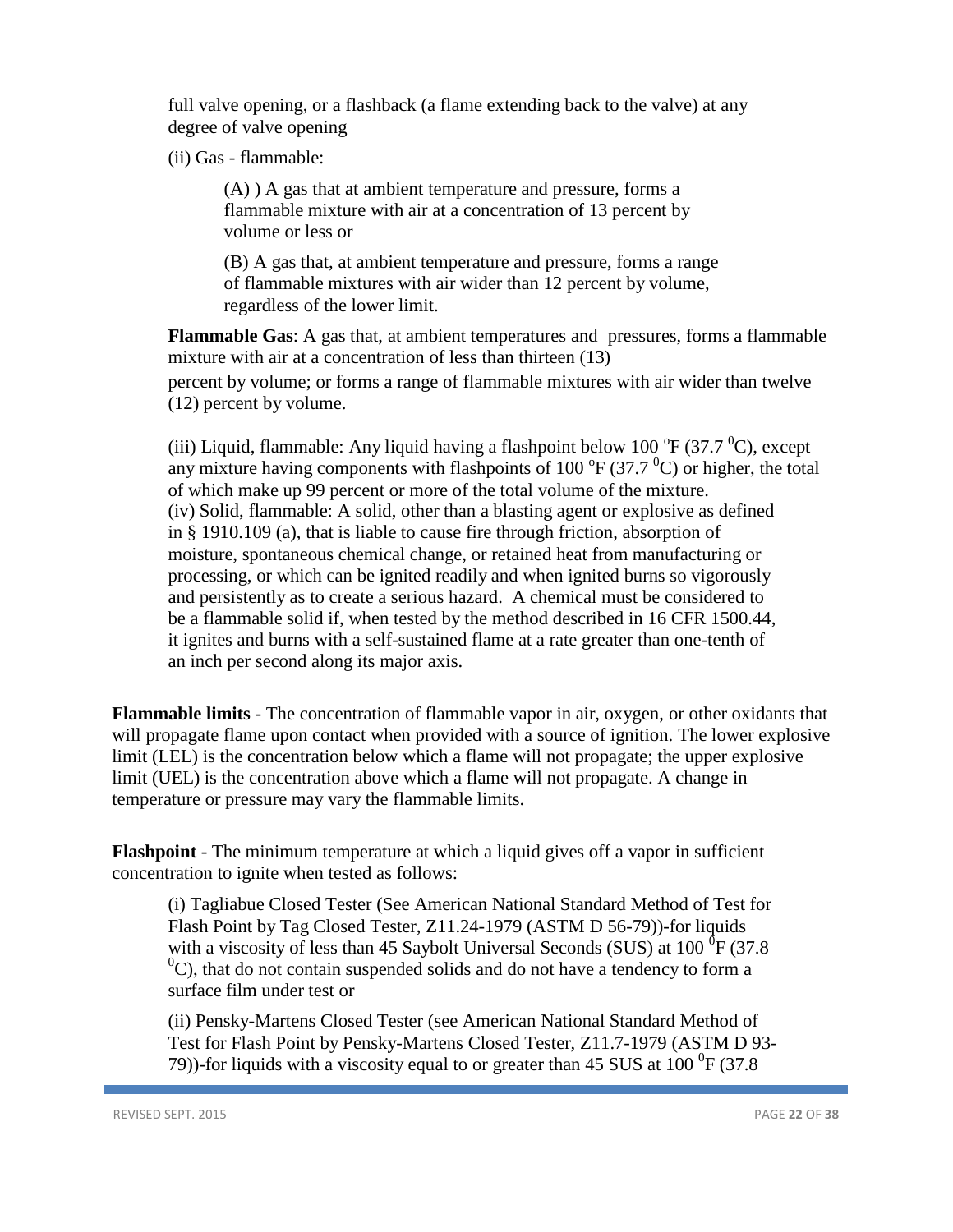full valve opening, or a flashback (a flame extending back to the valve) at any degree of valve opening

(ii) Gas - flammable:

(A) ) A gas that at ambient temperature and pressure, forms a flammable mixture with air at a concentration of 13 percent by volume or less or

(B) A gas that, at ambient temperature and pressure, forms a range of flammable mixtures with air wider than 12 percent by volume, regardless of the lower limit.

**Flammable Gas**: A gas that, at ambient temperatures and pressures, forms a flammable mixture with air at a concentration of less than thirteen (13) percent by volume; or forms a range of flammable mixtures with air wider than twelve (12) percent by volume.

(iii) Liquid, flammable: Any liquid having a flashpoint below 100  $\rm{^oF}$  (37.7  $\rm{^oC}$ ), except any mixture having components with flashpoints of 100  $\rm{^oF}$  (37.7  $\rm{^oC}$ ) or higher, the total of which make up 99 percent or more of the total volume of the mixture. (iv) Solid, flammable: A solid, other than a blasting agent or explosive as defined in § 1910.109 (a), that is liable to cause fire through friction, absorption of moisture, spontaneous chemical change, or retained heat from manufacturing or processing, or which can be ignited readily and when ignited burns so vigorously and persistently as to create a serious hazard. A chemical must be considered to be a flammable solid if, when tested by the method described in 16 CFR 1500.44, it ignites and burns with a self-sustained flame at a rate greater than one-tenth of an inch per second along its major axis.

**Flammable limits** - The concentration of flammable vapor in air, oxygen, or other oxidants that will propagate flame upon contact when provided with a source of ignition. The lower explosive limit (LEL) is the concentration below which a flame will not propagate; the upper explosive limit (UEL) is the concentration above which a flame will not propagate. A change in temperature or pressure may vary the flammable limits.

**Flashpoint** - The minimum temperature at which a liquid gives off a vapor in sufficient concentration to ignite when tested as follows:

(i) Tagliabue Closed Tester (See American National Standard Method of Test for Flash Point by Tag Closed Tester, Z11.24-1979 (ASTM D 56-79))-for liquids with a viscosity of less than 45 Saybolt Universal Seconds (SUS) at 100  $^{0}$ F (37.8  $^{0}$ C), that do not contain suspended solids and do not have a tendency to form a surface film under test or

(ii) Pensky-Martens Closed Tester (see American National Standard Method of Test for Flash Point by Pensky-Martens Closed Tester, Z11.7-1979 (ASTM D 93- 79))-for liquids with a viscosity equal to or greater than 45 SUS at  $100^{0}F(37.8)$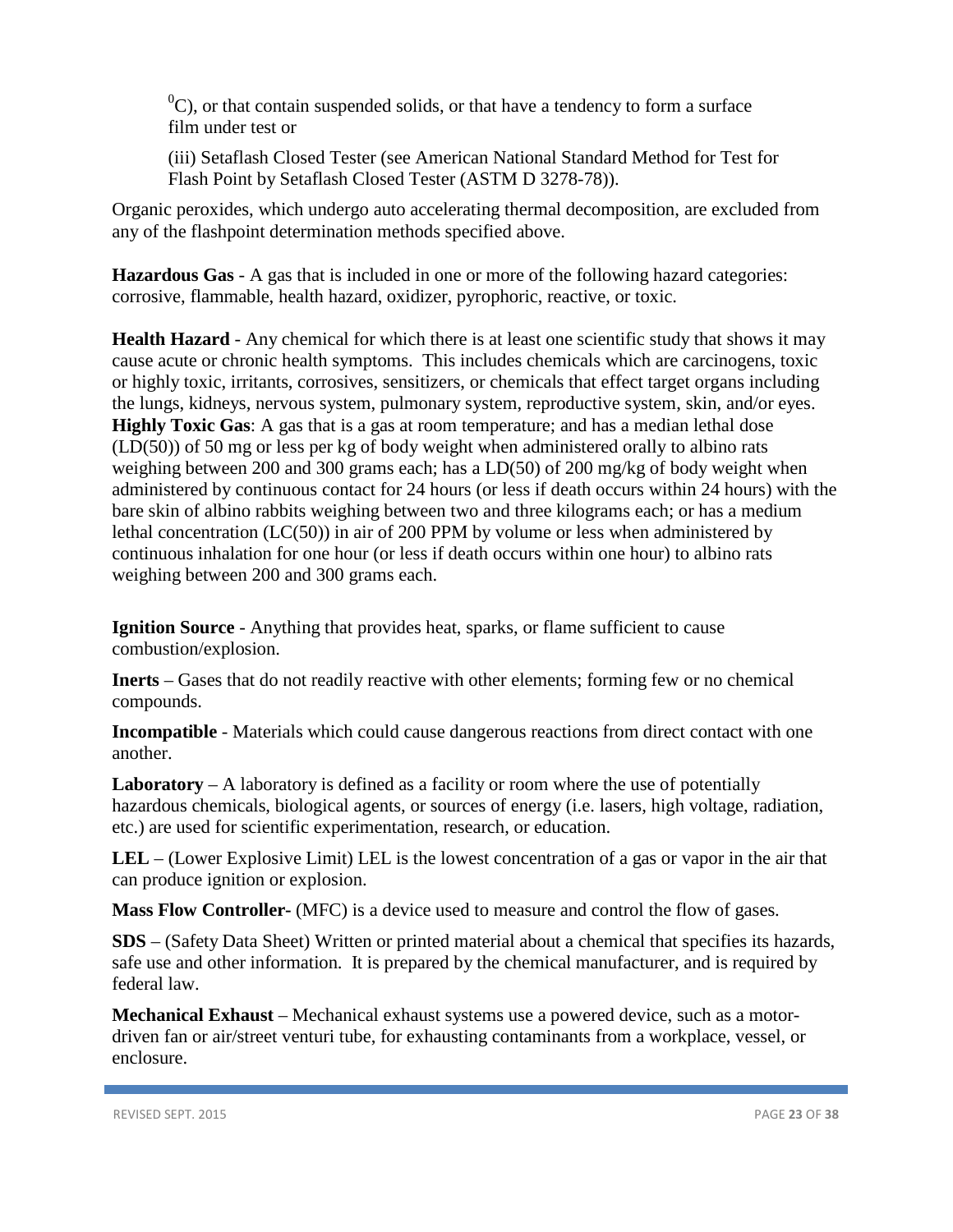${}^{0}C$ ), or that contain suspended solids, or that have a tendency to form a surface film under test or

(iii) Setaflash Closed Tester (see American National Standard Method for Test for Flash Point by Setaflash Closed Tester (ASTM D 3278-78)).

Organic peroxides, which undergo auto accelerating thermal decomposition, are excluded from any of the flashpoint determination methods specified above.

**Hazardous Gas** - A gas that is included in one or more of the following hazard categories: corrosive, flammable, health hazard, oxidizer, pyrophoric, reactive, or toxic.

**Health Hazard** - Any chemical for which there is at least one scientific study that shows it may cause acute or chronic health symptoms. This includes chemicals which are carcinogens, toxic or highly toxic, irritants, corrosives, sensitizers, or chemicals that effect target organs including the lungs, kidneys, nervous system, pulmonary system, reproductive system, skin, and/or eyes. **Highly Toxic Gas**: A gas that is a gas at room temperature; and has a median lethal dose (LD(50)) of 50 mg or less per kg of body weight when administered orally to albino rats weighing between 200 and 300 grams each; has a LD(50) of 200 mg/kg of body weight when administered by continuous contact for 24 hours (or less if death occurs within 24 hours) with the bare skin of albino rabbits weighing between two and three kilograms each; or has a medium lethal concentration (LC(50)) in air of 200 PPM by volume or less when administered by continuous inhalation for one hour (or less if death occurs within one hour) to albino rats weighing between 200 and 300 grams each.

**Ignition Source** - Anything that provides heat, sparks, or flame sufficient to cause combustion/explosion.

**Inerts** – Gases that do not readily reactive with other elements; forming few or no chemical compounds.

**Incompatible** - Materials which could cause dangerous reactions from direct contact with one another.

**Laboratory** – A laboratory is defined as a facility or room where the use of potentially hazardous chemicals, biological agents, or sources of energy (i.e. lasers, high voltage, radiation, etc.) are used for scientific experimentation, research, or education.

**LEL** – (Lower Explosive Limit) LEL is the lowest concentration of a gas or vapor in the air that can produce ignition or explosion.

**Mass Flow Controller-** (MFC) is a device used to measure and control the flow of gases.

**SDS** – (Safety Data Sheet) Written or printed material about a chemical that specifies its hazards, safe use and other information. It is prepared by the chemical manufacturer, and is required by federal law.

**Mechanical Exhaust** – Mechanical exhaust systems use a powered device, such as a motordriven fan or air/street venturi tube, for exhausting contaminants from a workplace, vessel, or enclosure.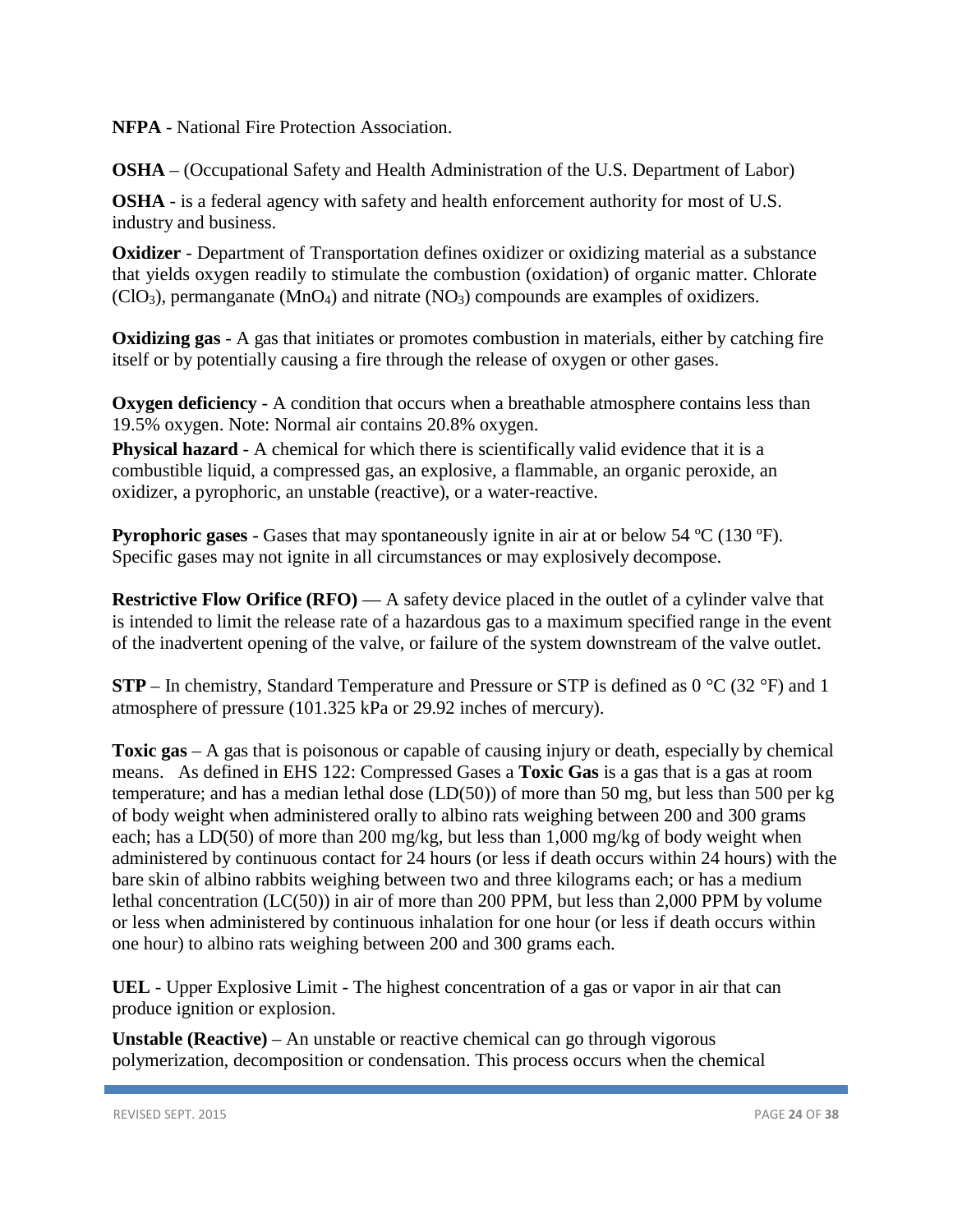**NFPA** - National Fire Protection Association.

**OSHA** – (Occupational Safety and Health Administration of the U.S. Department of Labor)

**OSHA** - is a federal agency with safety and health enforcement authority for most of U.S. industry and business.

**Oxidizer** - Department of Transportation defines oxidizer or oxidizing material as a substance that yields oxygen readily to stimulate the combustion (oxidation) of organic matter. Chlorate  $(CIO<sub>3</sub>)$ , permanganate  $(MnO<sub>4</sub>)$  and nitrate  $(NO<sub>3</sub>)$  compounds are examples of oxidizers.

**Oxidizing gas** - A gas that initiates or promotes combustion in materials, either by catching fire itself or by potentially causing a fire through the release of oxygen or other gases.

**Oxygen deficiency** - A condition that occurs when a breathable atmosphere contains less than 19.5% oxygen. Note: Normal air contains 20.8% oxygen.

**Physical hazard** - A chemical for which there is scientifically valid evidence that it is a combustible liquid, a compressed gas, an explosive, a flammable, an organic peroxide, an oxidizer, a pyrophoric, an unstable (reactive), or a water-reactive.

**Pyrophoric gases** - Gases that may spontaneously ignite in air at or below 54 ºC (130 ºF). Specific gases may not ignite in all circumstances or may explosively decompose.

**Restrictive Flow Orifice (RFO)** — A safety device placed in the outlet of a cylinder valve that is intended to limit the release rate of a hazardous gas to a maximum specified range in the event of the inadvertent opening of the valve, or failure of the system downstream of the valve outlet.

**STP** – In chemistry, Standard Temperature and Pressure or STP is defined as 0 °C (32 °F) and 1 atmosphere of pressure (101.325 kPa or 29.92 inches of mercury).

**Toxic gas** – A gas that is poisonous or capable of causing injury or death, especially by chemical means. As defined in EHS 122: Compressed Gases a **Toxic Gas** is a gas that is a gas at room temperature; and has a median lethal dose (LD(50)) of more than 50 mg, but less than 500 per kg of body weight when administered orally to albino rats weighing between 200 and 300 grams each; has a LD(50) of more than 200 mg/kg, but less than 1,000 mg/kg of body weight when administered by continuous contact for 24 hours (or less if death occurs within 24 hours) with the bare skin of albino rabbits weighing between two and three kilograms each; or has a medium lethal concentration (LC(50)) in air of more than 200 PPM, but less than 2,000 PPM by volume or less when administered by continuous inhalation for one hour (or less if death occurs within one hour) to albino rats weighing between 200 and 300 grams each.

**UEL** - Upper Explosive Limit - The highest concentration of a gas or vapor in air that can produce ignition or explosion.

**Unstable (Reactive)** – An unstable or reactive chemical can go through vigorous polymerization, decomposition or condensation. This process occurs when the chemical

REVISED SEPT. 2015 PAGE **24** OF **38**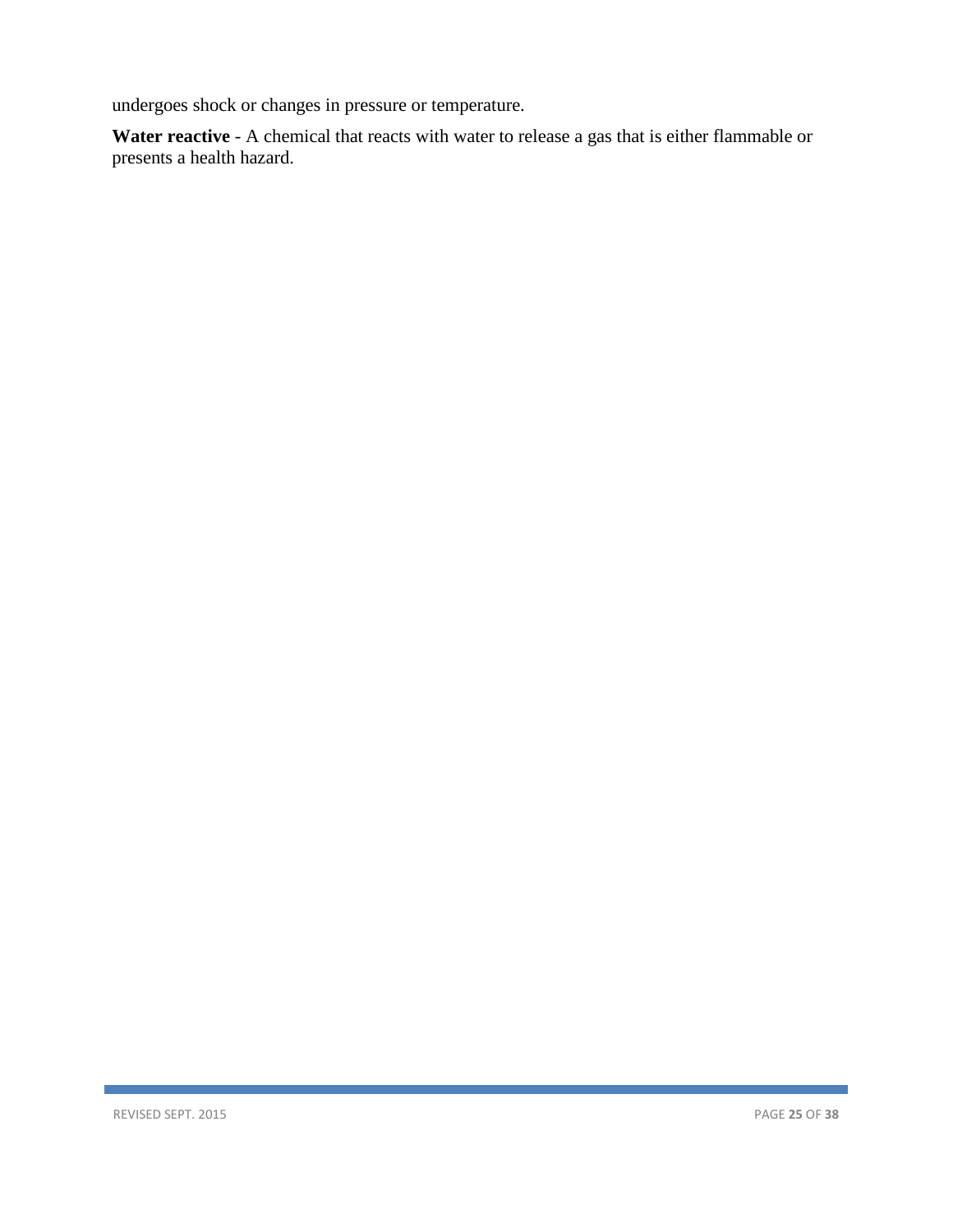undergoes shock or changes in pressure or temperature.

**Water reactive** - A chemical that reacts with water to release a gas that is either flammable or presents a health hazard.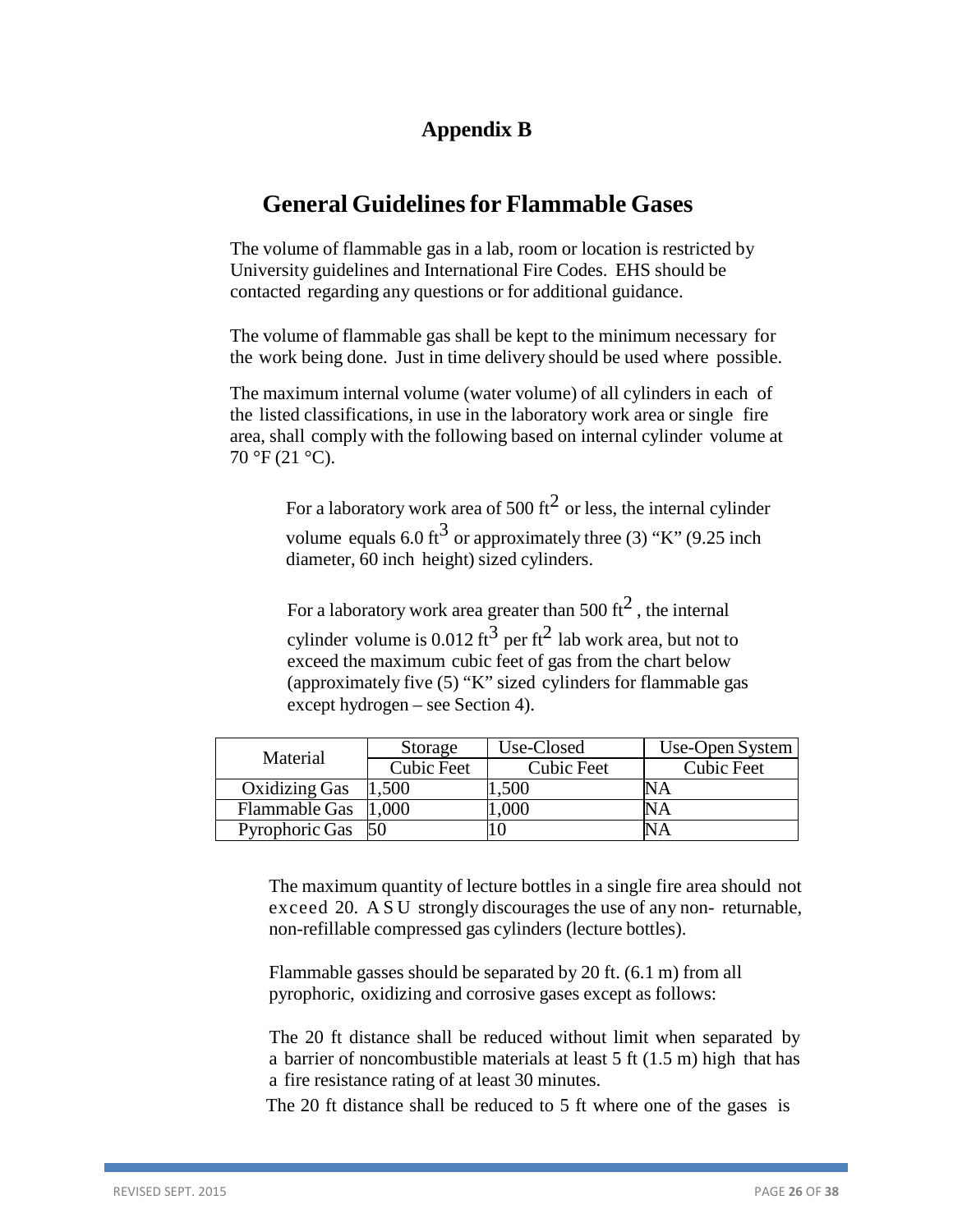# **Appendix B**

# **General Guidelinesfor Flammable Gases**

The volume of flammable gas in a lab, room or location is restricted by University guidelines and International Fire Codes. EHS should be contacted regarding any questions or for additional guidance.

The volume of flammable gas shall be kept to the minimum necessary for the work being done. Just in time delivery should be used where possible.

The maximum internal volume (water volume) of all cylinders in each of the listed classifications, in use in the laboratory work area or single fire area, shall comply with the following based on internal cylinder volume at  $70 °F (21 °C)$ .

> For a laboratory work area of 500 ft<sup>2</sup> or less, the internal cylinder volume equals 6.0 ft<sup>3</sup> or approximately three (3) "K" (9.25 inch diameter, 60 inch height) sized cylinders.

For a laboratory work area greater than 500  $\text{ft}^2$ , the internal cylinder volume is 0.012 ft<sup>3</sup> per ft<sup>2</sup> lab work area, but not to exceed the maximum cubic feet of gas from the chart below (approximately five (5) "K" sized cylinders for flammable gas except hydrogen – see Section 4).

| Material             | Storage           | Use-Closed        | Use-Open System   |
|----------------------|-------------------|-------------------|-------------------|
|                      | <b>Cubic Feet</b> | <b>Cubic Feet</b> | <b>Cubic Feet</b> |
| Oxidizing Gas        | 500               | .500              |                   |
| <b>Flammable Gas</b> | 000               | .000              |                   |
| Pyrophoric Gas       |                   |                   |                   |

The maximum quantity of lecture bottles in a single fire area should not exceed 20. A S U strongly discourages the use of any non- returnable, non-refillable compressed gas cylinders (lecture bottles).

Flammable gasses should be separated by 20 ft. (6.1 m) from all pyrophoric, oxidizing and corrosive gases except as follows:

The 20 ft distance shall be reduced without limit when separated by a barrier of noncombustible materials at least 5 ft (1.5 m) high that has a fire resistance rating of at least 30 minutes.

The 20 ft distance shall be reduced to 5 ft where one of the gases is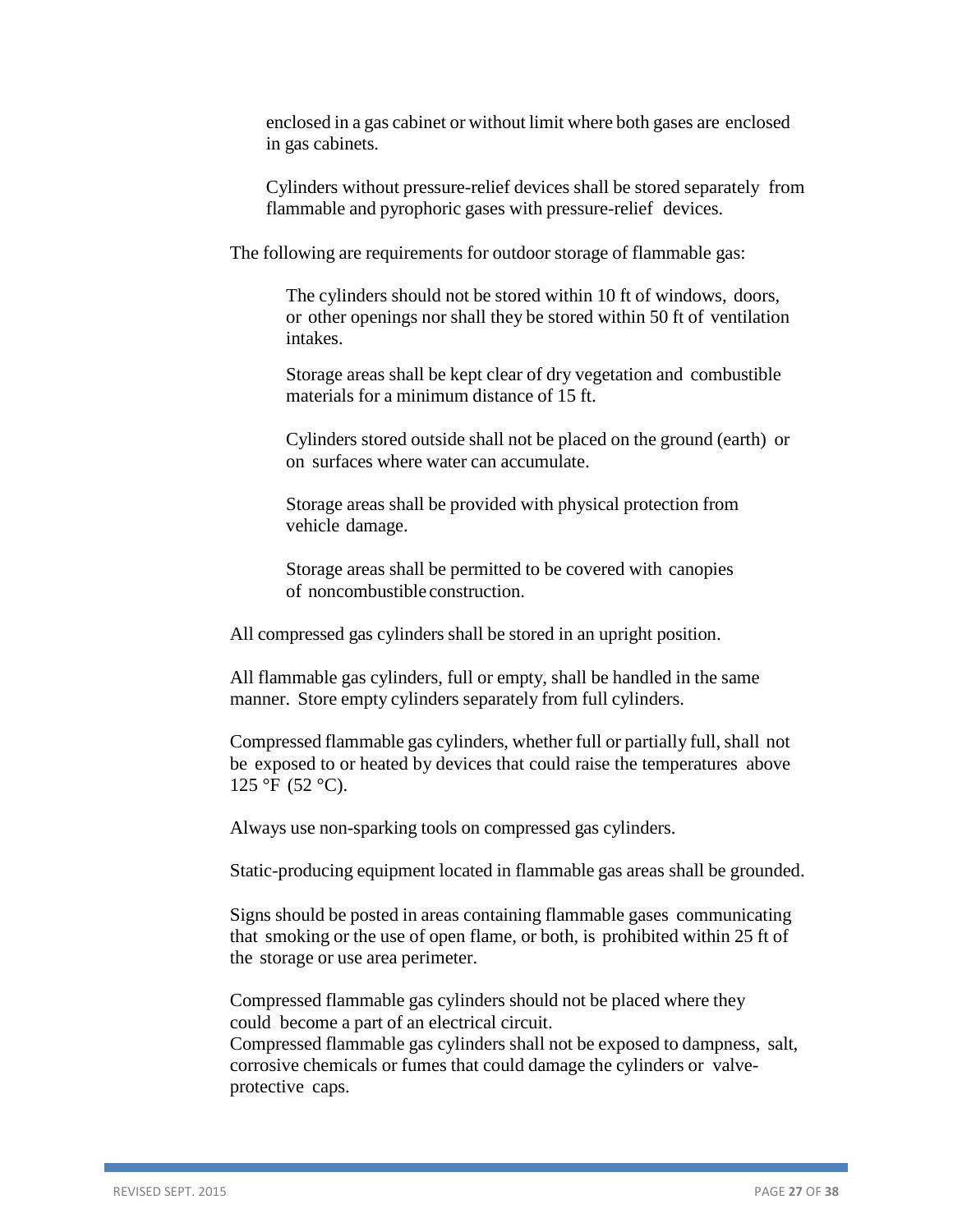enclosed in a gas cabinet or without limit where both gases are enclosed in gas cabinets.

Cylinders without pressure-relief devices shall be stored separately from flammable and pyrophoric gases with pressure-relief devices.

The following are requirements for outdoor storage of flammable gas:

The cylinders should not be stored within 10 ft of windows, doors, or other openings nor shall they be stored within 50 ft of ventilation intakes.

Storage areas shall be kept clear of dry vegetation and combustible materials for a minimum distance of 15 ft.

Cylinders stored outside shall not be placed on the ground (earth) or on surfaces where water can accumulate.

Storage areas shall be provided with physical protection from vehicle damage.

Storage areas shall be permitted to be covered with canopies of noncombustible construction.

All compressed gas cylinders shall be stored in an upright position.

All flammable gas cylinders, full or empty, shall be handled in the same manner. Store empty cylinders separately from full cylinders.

Compressed flammable gas cylinders, whether full or partially full, shall not be exposed to or heated by devices that could raise the temperatures above 125 °F (52 °C).

Always use non-sparking tools on compressed gas cylinders.

Static-producing equipment located in flammable gas areas shall be grounded.

Signs should be posted in areas containing flammable gases communicating that smoking or the use of open flame, or both, is prohibited within 25 ft of the storage or use area perimeter.

Compressed flammable gas cylinders should not be placed where they could become a part of an electrical circuit.

Compressed flammable gas cylinders shall not be exposed to dampness, salt, corrosive chemicals or fumes that could damage the cylinders or valveprotective caps.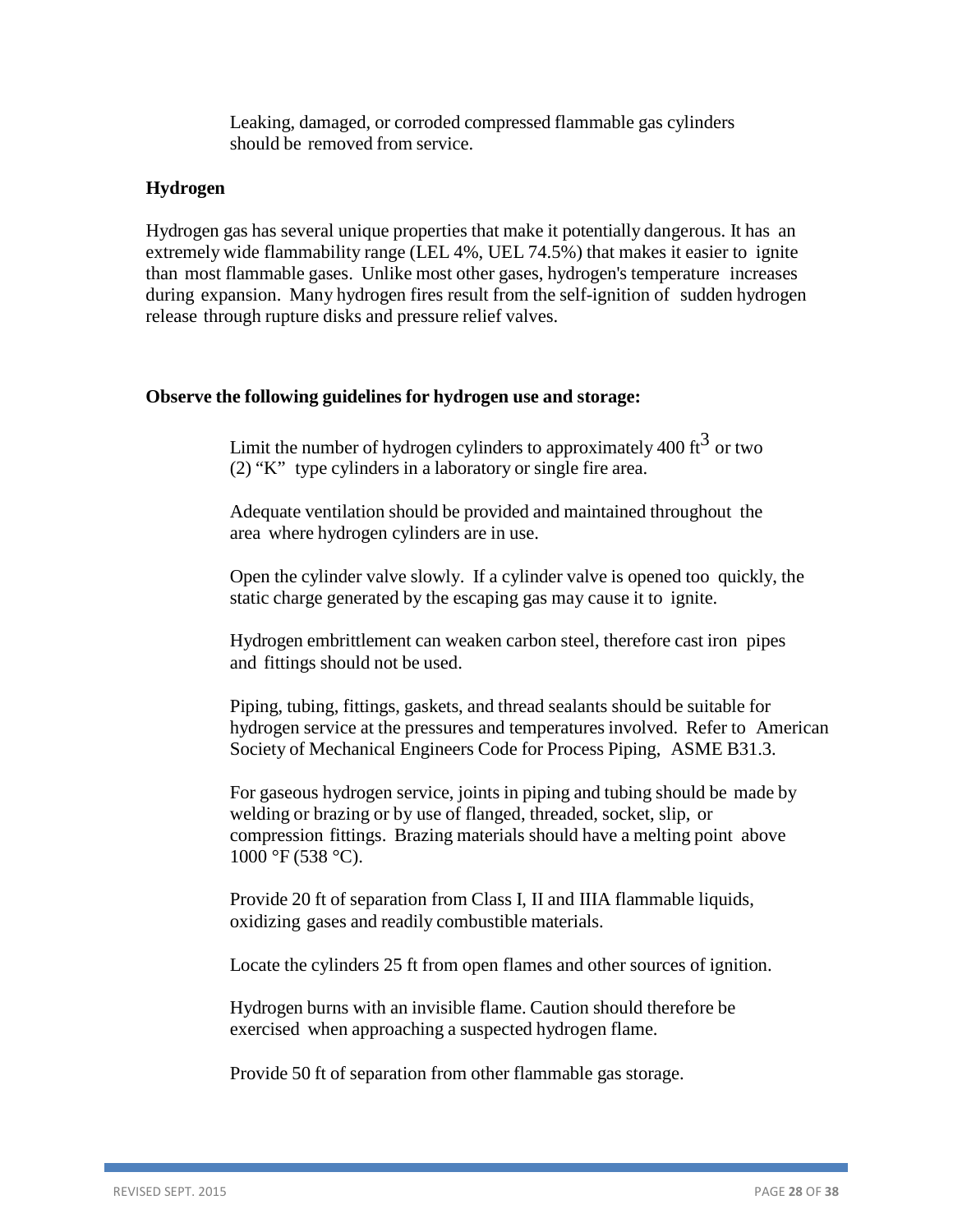Leaking, damaged, or corroded compressed flammable gas cylinders should be removed from service.

### <span id="page-27-0"></span>**Hydrogen**

Hydrogen gas has several unique properties that make it potentially dangerous. It has an extremely wide flammability range (LEL 4%, UEL 74.5%) that makes it easier to ignite than most flammable gases. Unlike most other gases, hydrogen's temperature increases during expansion. Many hydrogen fires result from the self-ignition of sudden hydrogen release through rupture disks and pressure relief valves.

#### <span id="page-27-1"></span>**Observe the following guidelines for hydrogen use and storage:**

Limit the number of hydrogen cylinders to approximately 400  $\text{ft}^3$  or two (2) "K" type cylinders in a laboratory or single fire area.

Adequate ventilation should be provided and maintained throughout the area where hydrogen cylinders are in use.

Open the cylinder valve slowly. If a cylinder valve is opened too quickly, the static charge generated by the escaping gas may cause it to ignite.

Hydrogen embrittlement can weaken carbon steel, therefore cast iron pipes and fittings should not be used.

Piping, tubing, fittings, gaskets, and thread sealants should be suitable for hydrogen service at the pressures and temperatures involved. Refer to American Society of Mechanical Engineers Code for Process Piping, ASME B31.3.

For gaseous hydrogen service, joints in piping and tubing should be made by welding or brazing or by use of flanged, threaded, socket, slip, or compression fittings. Brazing materials should have a melting point above  $1000 \text{ °F}$  (538 °C).

Provide 20 ft of separation from Class I, II and IIIA flammable liquids, oxidizing gases and readily combustible materials.

Locate the cylinders 25 ft from open flames and other sources of ignition.

Hydrogen burns with an invisible flame. Caution should therefore be exercised when approaching a suspected hydrogen flame.

Provide 50 ft of separation from other flammable gas storage.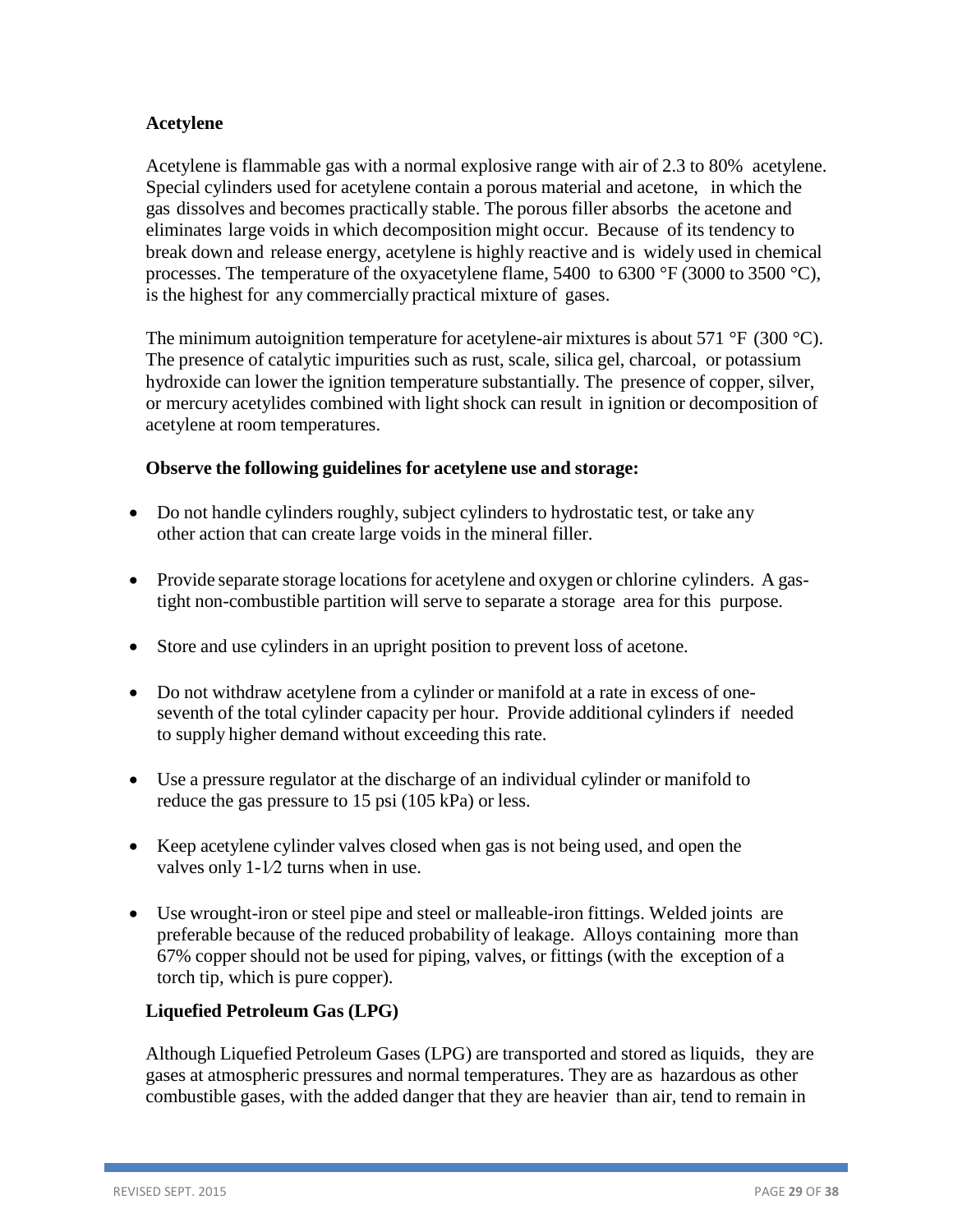# <span id="page-28-0"></span>**Acetylene**

Acetylene is flammable gas with a normal explosive range with air of 2.3 to 80% acetylene. Special cylinders used for acetylene contain a porous material and acetone, in which the gas dissolves and becomes practically stable. The porous filler absorbs the acetone and eliminates large voids in which decomposition might occur. Because of its tendency to break down and release energy, acetylene is highly reactive and is widely used in chemical processes. The temperature of the oxyacetylene flame, 5400 to 6300  $\degree$ F (3000 to 3500  $\degree$ C), is the highest for any commercially practical mixture of gases.

The minimum autoignition temperature for acetylene-air mixtures is about 571  $\degree$ F (300  $\degree$ C). The presence of catalytic impurities such as rust, scale, silica gel, charcoal, or potassium hydroxide can lower the ignition temperature substantially. The presence of copper, silver, or mercury acetylides combined with light shock can result in ignition or decomposition of acetylene at room temperatures.

### <span id="page-28-1"></span>**Observe the following guidelines for acetylene use and storage:**

- Do not handle cylinders roughly, subject cylinders to hydrostatic test, or take any other action that can create large voids in the mineral filler.
- Provide separate storage locations for acetylene and oxygen or chlorine cylinders. A gastight non-combustible partition will serve to separate a storage area for this purpose.
- Store and use cylinders in an upright position to prevent loss of acetone.
- Do not withdraw acetylene from a cylinder or manifold at a rate in excess of oneseventh of the total cylinder capacity per hour. Provide additional cylinders if needed to supply higher demand without exceeding this rate.
- Use a pressure regulator at the discharge of an individual cylinder or manifold to reduce the gas pressure to 15 psi (105 kPa) or less.
- Keep acetylene cylinder valves closed when gas is not being used, and open the valves only 1-1⁄2 turns when in use.
- Use wrought-iron or steel pipe and steel or malleable-iron fittings. Welded joints are preferable because of the reduced probability of leakage. Alloys containing more than 67% copper should not be used for piping, valves, or fittings (with the exception of a torch tip, which is pure copper).

# <span id="page-28-2"></span>**Liquefied Petroleum Gas (LPG)**

Although Liquefied Petroleum Gases (LPG) are transported and stored as liquids, they are gases at atmospheric pressures and normal temperatures. They are as hazardous as other combustible gases, with the added danger that they are heavier than air, tend to remain in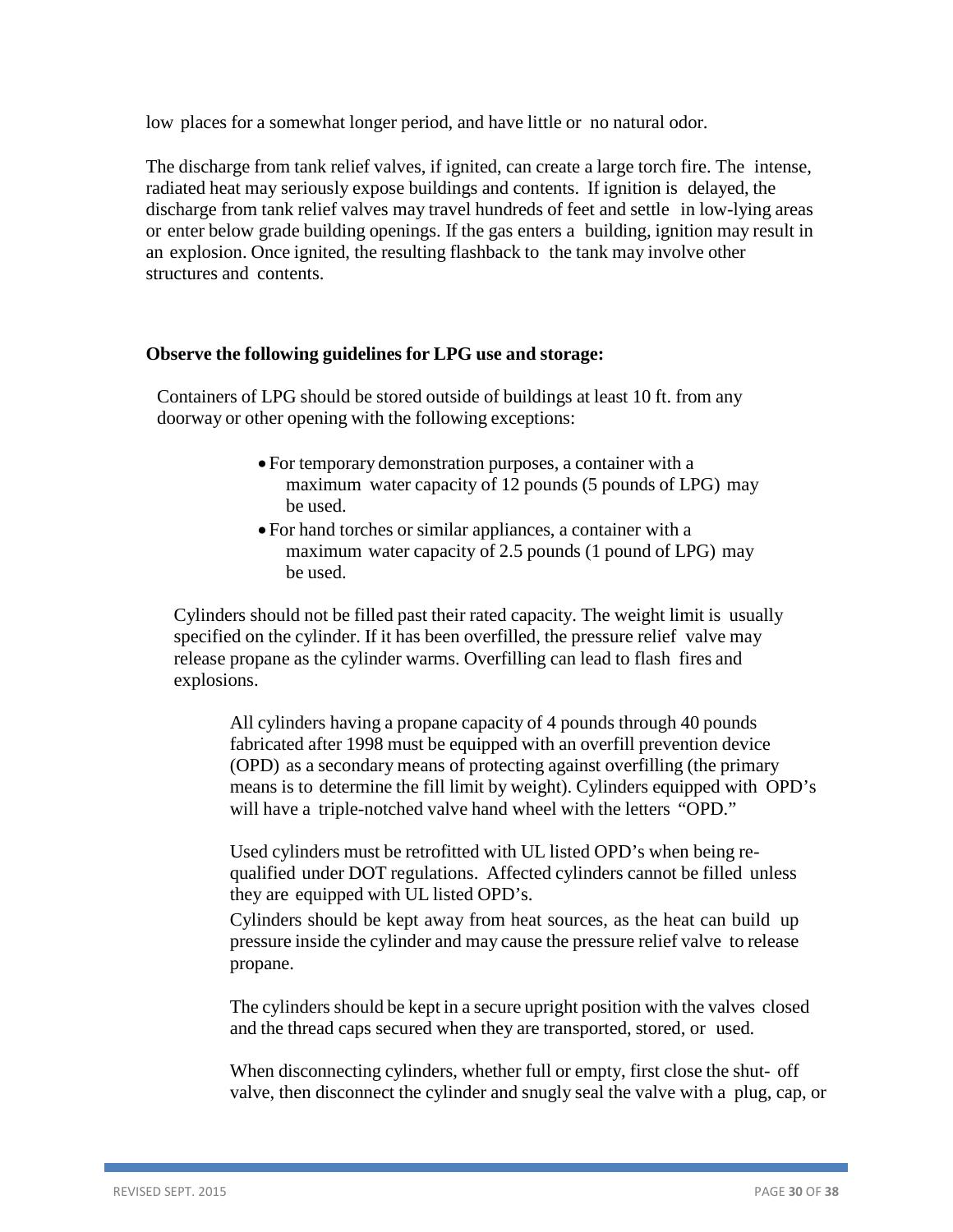low places for a somewhat longer period, and have little or no natural odor.

The discharge from tank relief valves, if ignited, can create a large torch fire. The intense, radiated heat may seriously expose buildings and contents. If ignition is delayed, the discharge from tank relief valves may travel hundreds of feet and settle in low-lying areas or enter below grade building openings. If the gas enters a building, ignition may result in an explosion. Once ignited, the resulting flashback to the tank may involve other structures and contents.

### <span id="page-29-0"></span>**Observe the following guidelines for LPG use and storage:**

Containers of LPG should be stored outside of buildings at least 10 ft. from any doorway or other opening with the following exceptions:

- For temporary demonstration purposes, a container with a maximum water capacity of 12 pounds (5 pounds of LPG) may be used.
- For hand torches or similar appliances, a container with a maximum water capacity of 2.5 pounds (1 pound of LPG) may be used.

Cylinders should not be filled past their rated capacity. The weight limit is usually specified on the cylinder. If it has been overfilled, the pressure relief valve may release propane as the cylinder warms. Overfilling can lead to flash fires and explosions.

All cylinders having a propane capacity of 4 pounds through 40 pounds fabricated after 1998 must be equipped with an overfill prevention device (OPD) as a secondary means of protecting against overfilling (the primary means is to determine the fill limit by weight). Cylinders equipped with OPD's will have a triple-notched valve hand wheel with the letters "OPD."

Used cylinders must be retrofitted with UL listed OPD's when being requalified under DOT regulations. Affected cylinders cannot be filled unless they are equipped with UL listed OPD's.

Cylinders should be kept away from heat sources, as the heat can build up pressure inside the cylinder and may cause the pressure relief valve to release propane.

The cylinders should be kept in a secure upright position with the valves closed and the thread caps secured when they are transported, stored, or used.

When disconnecting cylinders, whether full or empty, first close the shut- off valve, then disconnect the cylinder and snugly seal the valve with a plug, cap, or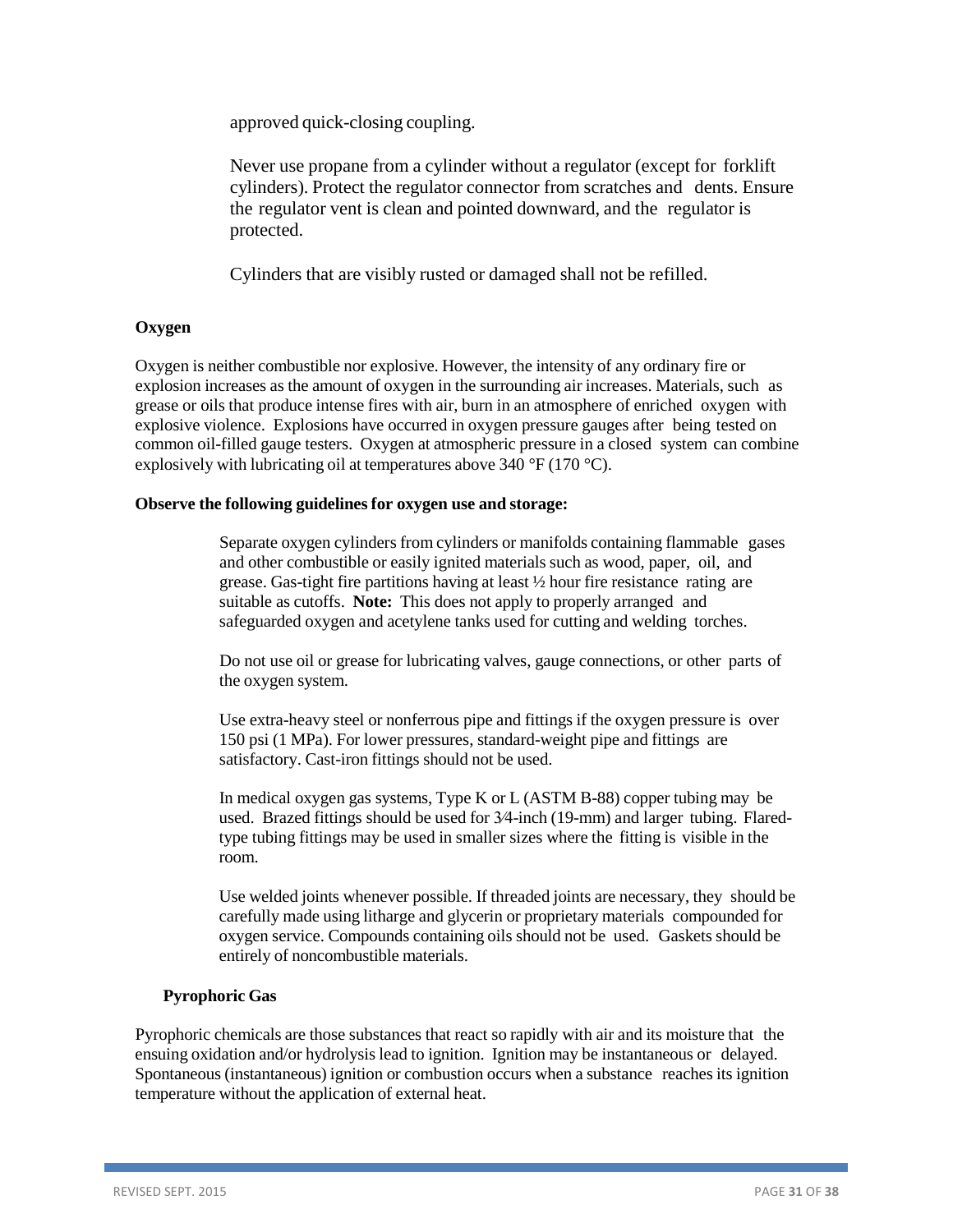approved quick-closing coupling.

Never use propane from a cylinder without a regulator (except for forklift cylinders). Protect the regulator connector from scratches and dents. Ensure the regulator vent is clean and pointed downward, and the regulator is protected.

Cylinders that are visibly rusted or damaged shall not be refilled.

#### **Oxygen**

Oxygen is neither combustible nor explosive. However, the intensity of any ordinary fire or explosion increases as the amount of oxygen in the surrounding air increases. Materials, such as grease or oils that produce intense fires with air, burn in an atmosphere of enriched oxygen with explosive violence. Explosions have occurred in oxygen pressure gauges after being tested on common oil-filled gauge testers. Oxygen at atmospheric pressure in a closed system can combine explosively with lubricating oil at temperatures above 340 °F (170 °C).

#### **Observe the following guidelinesfor oxygen use and storage:**

Separate oxygen cylinders from cylinders or manifolds containing flammable gases and other combustible or easily ignited materials such as wood, paper, oil, and grease. Gas-tight fire partitions having at least ½ hour fire resistance rating are suitable as cutoffs. **Note:** This does not apply to properly arranged and safeguarded oxygen and acetylene tanks used for cutting and welding torches.

Do not use oil or grease for lubricating valves, gauge connections, or other parts of the oxygen system.

Use extra-heavy steel or nonferrous pipe and fittings if the oxygen pressure is over 150 psi (1 MPa). For lower pressures, standard-weight pipe and fittings are satisfactory. Cast-iron fittings should not be used.

In medical oxygen gas systems, Type K or L (ASTM B-88) copper tubing may be used. Brazed fittings should be used for 3⁄4-inch (19-mm) and larger tubing. Flaredtype tubing fittings may be used in smaller sizes where the fitting is visible in the room.

Use welded joints whenever possible. If threaded joints are necessary, they should be carefully made using litharge and glycerin or proprietary materials compounded for oxygen service. Compounds containing oils should not be used. Gaskets should be entirely of noncombustible materials.

#### **Pyrophoric Gas**

Pyrophoric chemicals are those substances that react so rapidly with air and its moisture that the ensuing oxidation and/or hydrolysis lead to ignition. Ignition may be instantaneous or delayed. Spontaneous (instantaneous) ignition or combustion occurs when a substance reaches its ignition temperature without the application of external heat.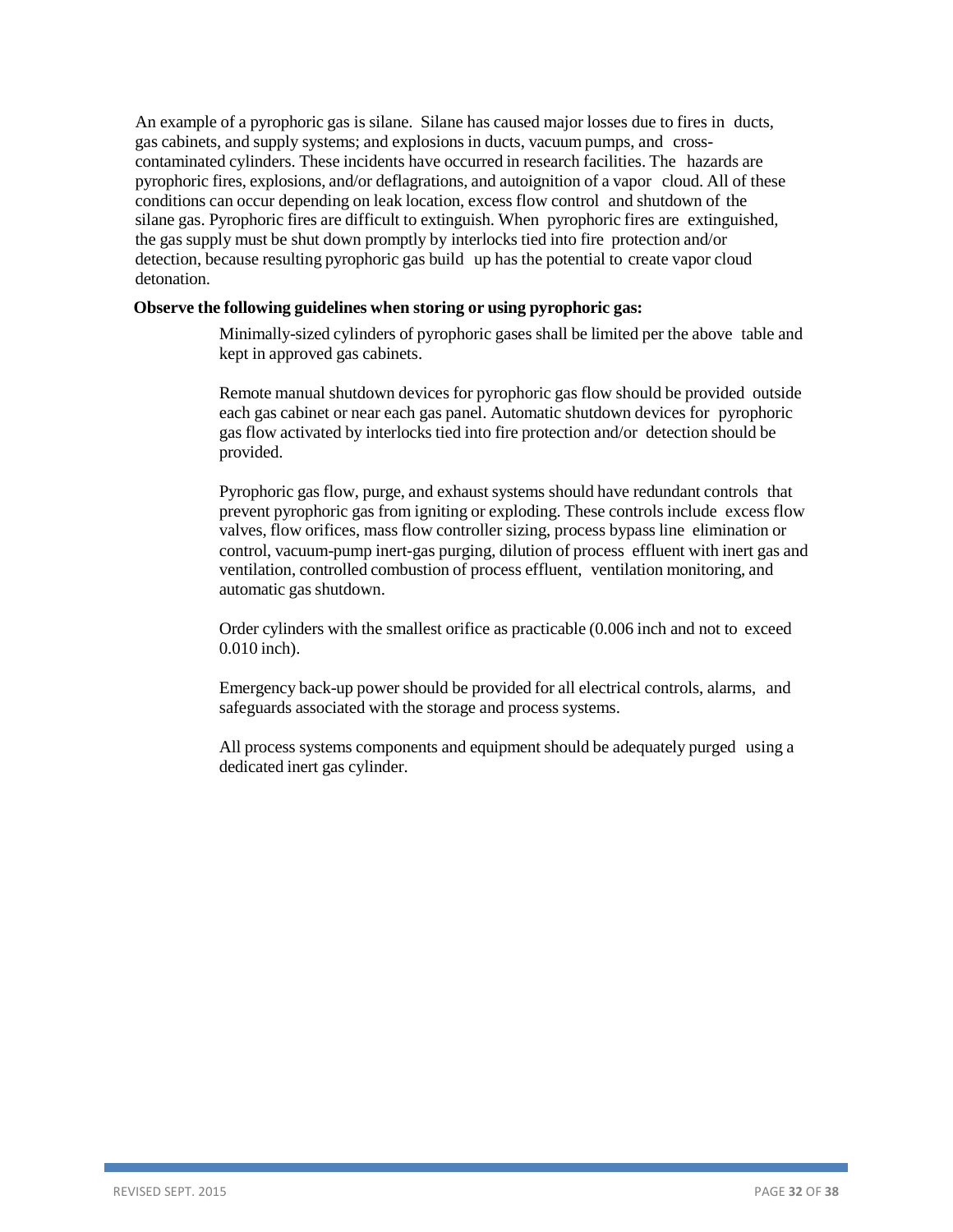An example of a pyrophoric gas is silane. Silane has caused major losses due to fires in ducts, gas cabinets, and supply systems; and explosions in ducts, vacuum pumps, and crosscontaminated cylinders. These incidents have occurred in research facilities. The hazards are pyrophoric fires, explosions, and/or deflagrations, and autoignition of a vapor cloud. All of these conditions can occur depending on leak location, excess flow control and shutdown of the silane gas. Pyrophoric fires are difficult to extinguish. When pyrophoric fires are extinguished, the gas supply must be shut down promptly by interlocks tied into fire protection and/or detection, because resulting pyrophoric gas build up has the potential to create vapor cloud detonation.

#### **Observe the following guidelines when storing or using pyrophoric gas:**

Minimally-sized cylinders of pyrophoric gases shall be limited per the above table and kept in approved gas cabinets.

Remote manual shutdown devices for pyrophoric gas flow should be provided outside each gas cabinet or near each gas panel. Automatic shutdown devices for pyrophoric gas flow activated by interlocks tied into fire protection and/or detection should be provided.

Pyrophoric gas flow, purge, and exhaust systems should have redundant controls that prevent pyrophoric gas from igniting or exploding. These controls include excess flow valves, flow orifices, mass flow controller sizing, process bypass line elimination or control, vacuum-pump inert-gas purging, dilution of process effluent with inert gas and ventilation, controlled combustion of process effluent, ventilation monitoring, and automatic gas shutdown.

Order cylinders with the smallest orifice as practicable (0.006 inch and not to exceed 0.010 inch).

Emergency back-up power should be provided for all electrical controls, alarms, and safeguards associated with the storage and process systems.

All process systems components and equipment should be adequately purged using a dedicated inert gas cylinder.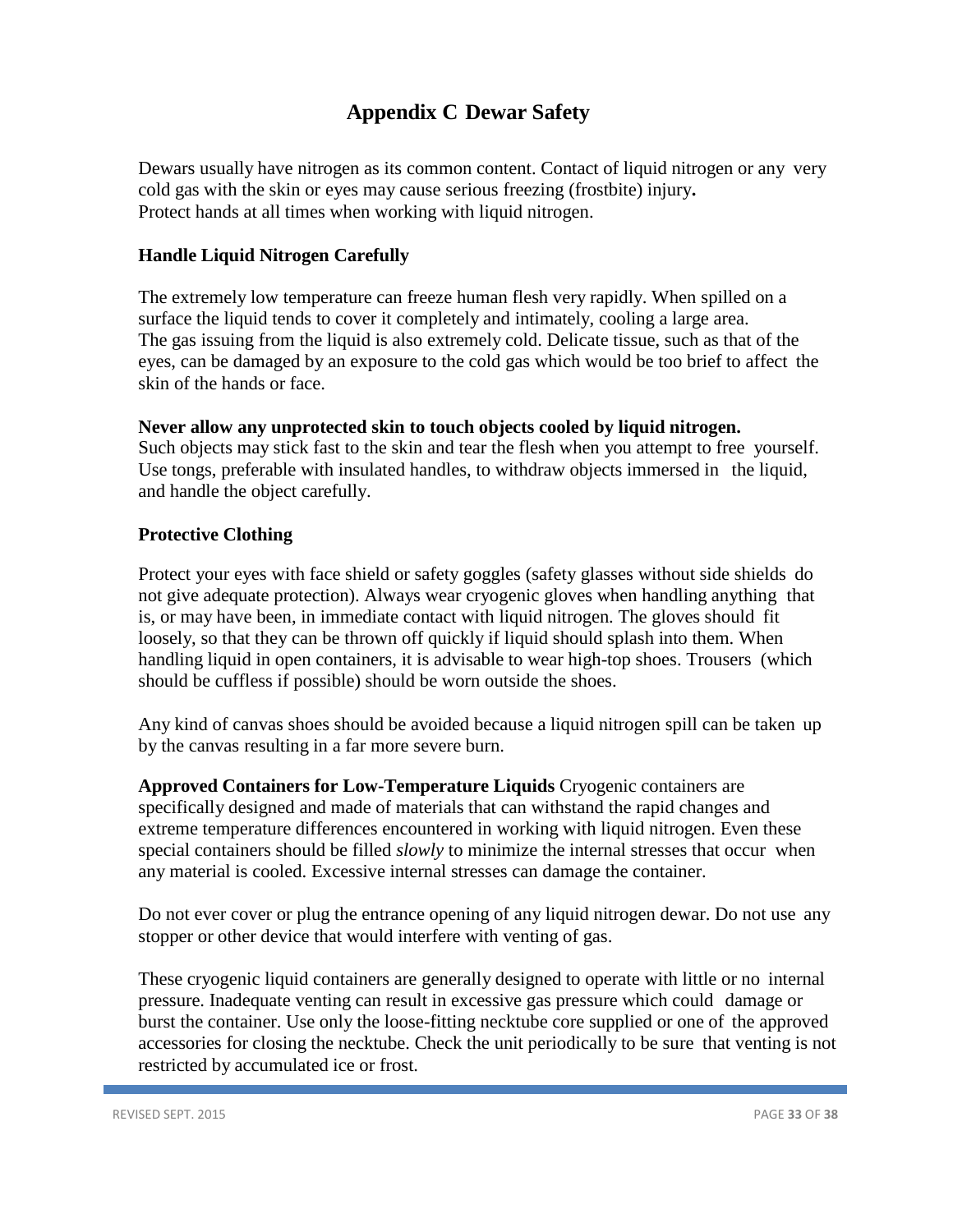# <span id="page-32-4"></span>**Appendix C Dewar Safety**

<span id="page-32-0"></span>Dewars usually have nitrogen as its common content. Contact of liquid nitrogen or any very cold gas with the skin or eyes may cause serious freezing (frostbite) injury**.** Protect hands at all times when working with liquid nitrogen.

# <span id="page-32-1"></span>**Handle Liquid Nitrogen Carefully**

The extremely low temperature can freeze human flesh very rapidly. When spilled on a surface the liquid tends to cover it completely and intimately, cooling a large area. The gas issuing from the liquid is also extremely cold. Delicate tissue, such as that of the eyes, can be damaged by an exposure to the cold gas which would be too brief to affect the skin of the hands or face.

#### <span id="page-32-2"></span>**Never allow any unprotected skin to touch objects cooled by liquid nitrogen.**

Such objects may stick fast to the skin and tear the flesh when you attempt to free yourself. Use tongs, preferable with insulated handles, to withdraw objects immersed in the liquid, and handle the object carefully.

### <span id="page-32-3"></span>**Protective Clothing**

Protect your eyes with face shield or safety goggles (safety glasses without side shields do not give adequate protection). Always wear cryogenic gloves when handling anything that is, or may have been, in immediate contact with liquid nitrogen. The gloves should fit loosely, so that they can be thrown off quickly if liquid should splash into them. When handling liquid in open containers, it is advisable to wear high-top shoes. Trousers (which should be cuffless if possible) should be worn outside the shoes.

Any kind of canvas shoes should be avoided because a liquid nitrogen spill can be taken up by the canvas resulting in a far more severe burn.

**Approved Containers for Low-Temperature Liquids** Cryogenic containers are specifically designed and made of materials that can withstand the rapid changes and extreme temperature differences encountered in working with liquid nitrogen. Even these special containers should be filled *slowly* to minimize the internal stresses that occur when any material is cooled. Excessive internal stresses can damage the container.

Do not ever cover or plug the entrance opening of any liquid nitrogen dewar. Do not use any stopper or other device that would interfere with venting of gas.

These cryogenic liquid containers are generally designed to operate with little or no internal pressure. Inadequate venting can result in excessive gas pressure which could damage or burst the container. Use only the loose-fitting necktube core supplied or one of the approved accessories for closing the necktube. Check the unit periodically to be sure that venting is not restricted by accumulated ice or frost.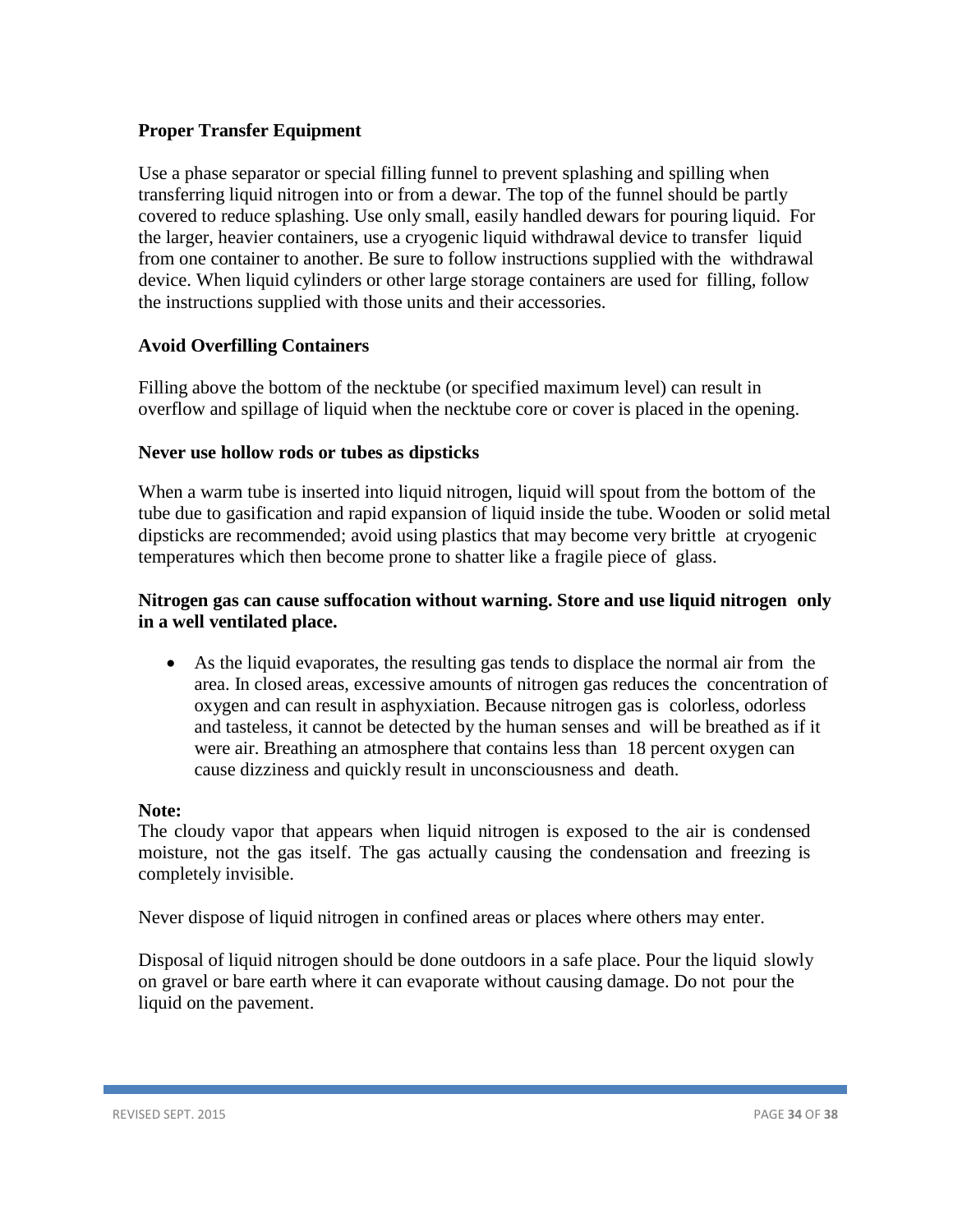### <span id="page-33-0"></span>**Proper Transfer Equipment**

Use a phase separator or special filling funnel to prevent splashing and spilling when transferring liquid nitrogen into or from a dewar. The top of the funnel should be partly covered to reduce splashing. Use only small, easily handled dewars for pouring liquid. For the larger, heavier containers, use a cryogenic liquid withdrawal device to transfer liquid from one container to another. Be sure to follow instructions supplied with the withdrawal device. When liquid cylinders or other large storage containers are used for filling, follow the instructions supplied with those units and their accessories.

# <span id="page-33-1"></span>**Avoid Overfilling Containers**

Filling above the bottom of the necktube (or specified maximum level) can result in overflow and spillage of liquid when the necktube core or cover is placed in the opening.

### <span id="page-33-2"></span>**Never use hollow rods or tubes as dipsticks**

When a warm tube is inserted into liquid nitrogen, liquid will spout from the bottom of the tube due to gasification and rapid expansion of liquid inside the tube. Wooden or solid metal dipsticks are recommended; avoid using plastics that may become very brittle at cryogenic temperatures which then become prone to shatter like a fragile piece of glass.

### <span id="page-33-3"></span>**Nitrogen gas can cause suffocation without warning. Store and use liquid nitrogen only in a well ventilated place.**

• As the liquid evaporates, the resulting gas tends to displace the normal air from the area. In closed areas, excessive amounts of nitrogen gas reduces the concentration of oxygen and can result in asphyxiation. Because nitrogen gas is colorless, odorless and tasteless, it cannot be detected by the human senses and will be breathed as if it were air. Breathing an atmosphere that contains less than 18 percent oxygen can cause dizziness and quickly result in unconsciousness and death.

### <span id="page-33-4"></span>**Note:**

The cloudy vapor that appears when liquid nitrogen is exposed to the air is condensed moisture, not the gas itself. The gas actually causing the condensation and freezing is completely invisible.

Never dispose of liquid nitrogen in confined areas or places where others may enter.

Disposal of liquid nitrogen should be done outdoors in a safe place. Pour the liquid slowly on gravel or bare earth where it can evaporate without causing damage. Do not pour the liquid on the pavement.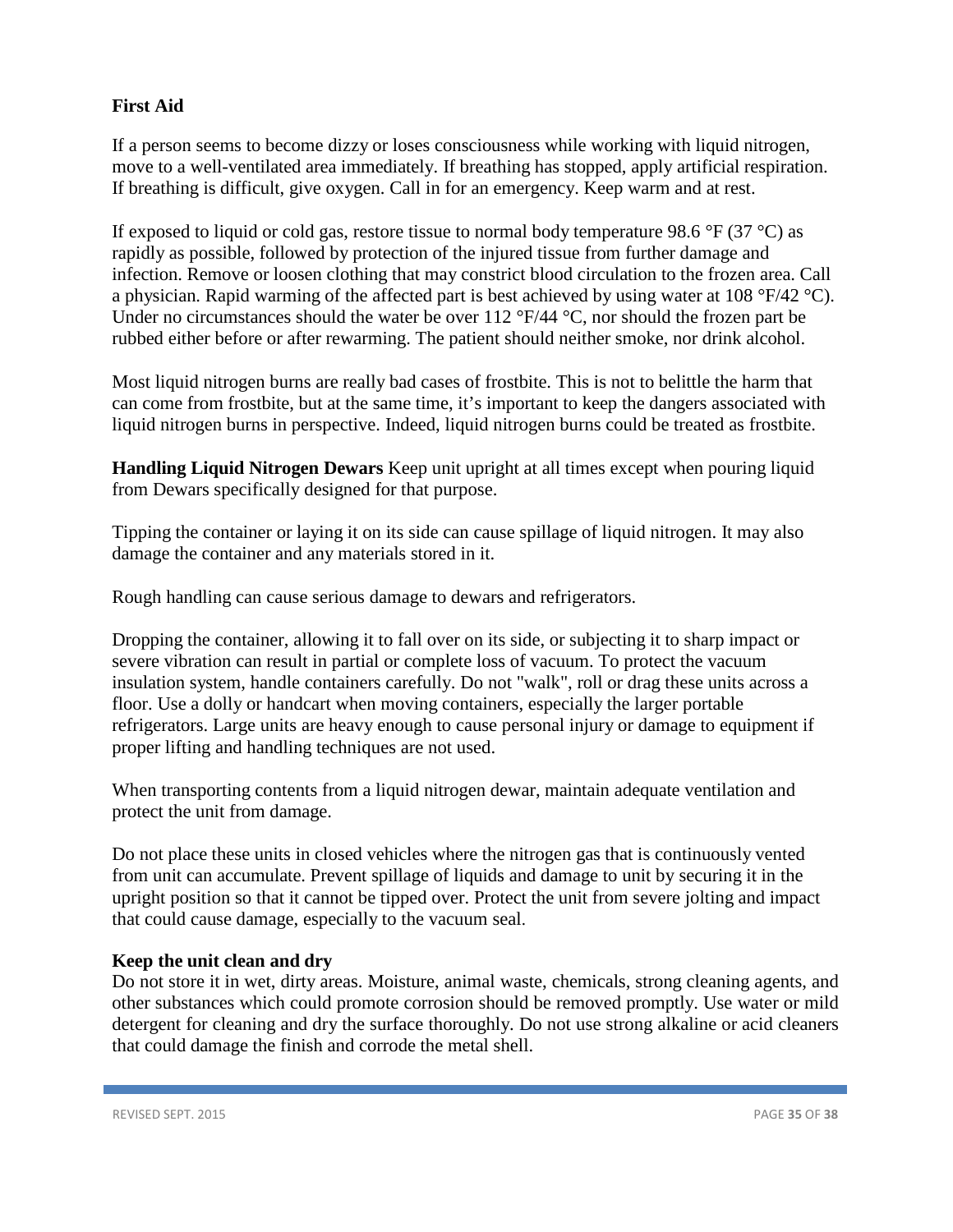# <span id="page-34-0"></span>**First Aid**

If a person seems to become dizzy or loses consciousness while working with liquid nitrogen, move to a well-ventilated area immediately. If breathing has stopped, apply artificial respiration. If breathing is difficult, give oxygen. Call in for an emergency. Keep warm and at rest.

If exposed to liquid or cold gas, restore tissue to normal body temperature 98.6  $\degree$ F (37  $\degree$ C) as rapidly as possible, followed by protection of the injured tissue from further damage and infection. Remove or loosen clothing that may constrict blood circulation to the frozen area. Call a physician. Rapid warming of the affected part is best achieved by using water at 108 °F/42 °C). Under no circumstances should the water be over 112 °F/44 °C, nor should the frozen part be rubbed either before or after rewarming. The patient should neither smoke, nor drink alcohol.

Most liquid nitrogen burns are really bad cases of frostbite. This is not to belittle the harm that can come from frostbite, but at the same time, it's important to keep the dangers associated with liquid nitrogen burns in perspective. Indeed, liquid nitrogen burns could be treated as frostbite.

**Handling Liquid Nitrogen Dewars** Keep unit upright at all times except when pouring liquid from Dewars specifically designed for that purpose.

Tipping the container or laying it on its side can cause spillage of liquid nitrogen. It may also damage the container and any materials stored in it.

Rough handling can cause serious damage to dewars and refrigerators.

Dropping the container, allowing it to fall over on its side, or subjecting it to sharp impact or severe vibration can result in partial or complete loss of vacuum. To protect the vacuum insulation system, handle containers carefully. Do not "walk", roll or drag these units across a floor. Use a dolly or handcart when moving containers, especially the larger portable refrigerators. Large units are heavy enough to cause personal injury or damage to equipment if proper lifting and handling techniques are not used.

When transporting contents from a liquid nitrogen dewar, maintain adequate ventilation and protect the unit from damage.

Do not place these units in closed vehicles where the nitrogen gas that is continuously vented from unit can accumulate. Prevent spillage of liquids and damage to unit by securing it in the upright position so that it cannot be tipped over. Protect the unit from severe jolting and impact that could cause damage, especially to the vacuum seal.

### <span id="page-34-1"></span>**Keep the unit clean and dry**

Do not store it in wet, dirty areas. Moisture, animal waste, chemicals, strong cleaning agents, and other substances which could promote corrosion should be removed promptly. Use water or mild detergent for cleaning and dry the surface thoroughly. Do not use strong alkaline or acid cleaners that could damage the finish and corrode the metal shell.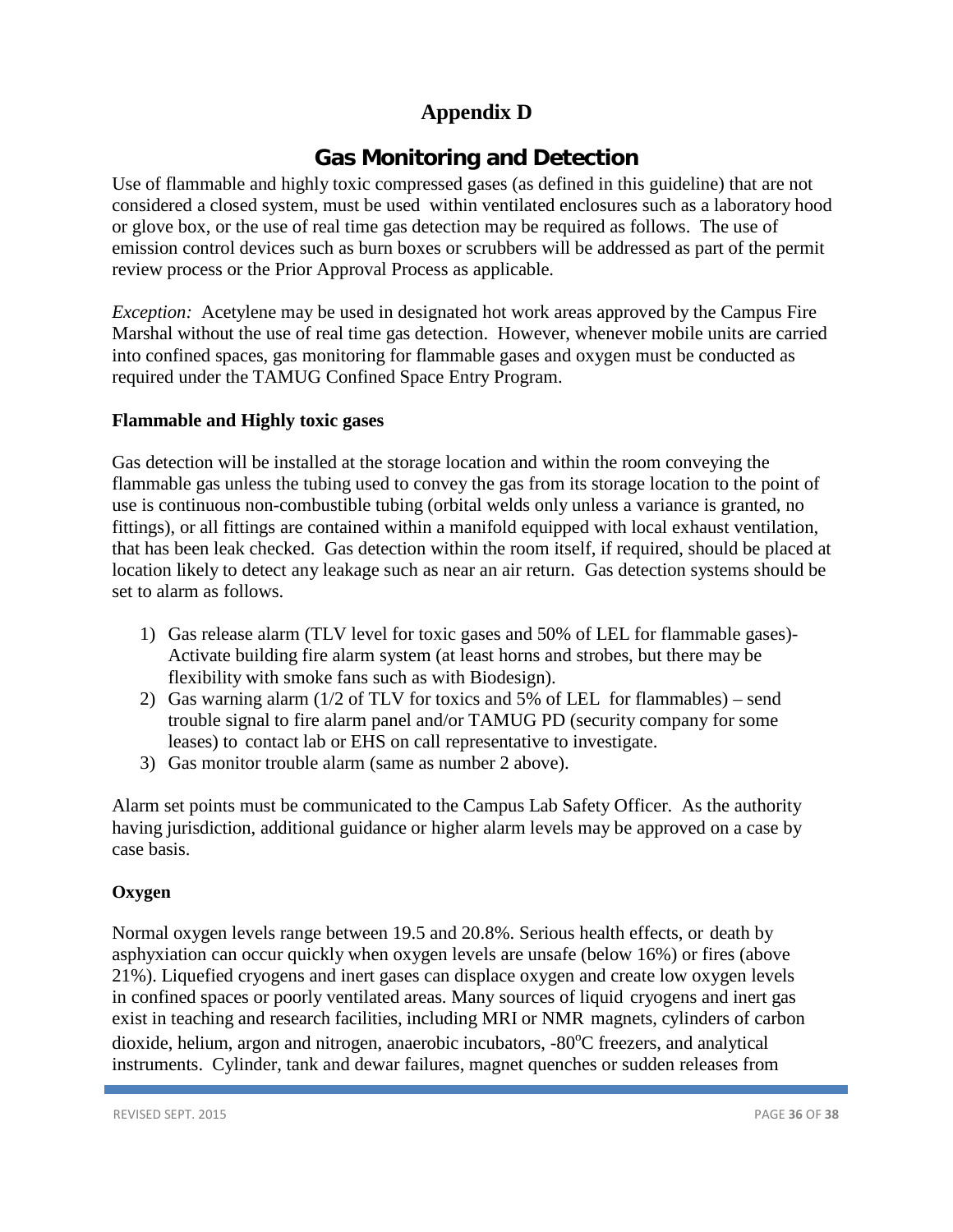# **Appendix D**

# **Gas Monitoring and Detection**

<span id="page-35-0"></span>Use of flammable and highly toxic compressed gases (as defined in this guideline) that are not considered a closed system, must be used within ventilated enclosures such as a laboratory hood or glove box, or the use of real time gas detection may be required as follows. The use of emission control devices such as burn boxes or scrubbers will be addressed as part of the permit review process or the Prior Approval Process as applicable.

*Exception:* Acetylene may be used in designated hot work areas approved by the Campus Fire Marshal without the use of real time gas detection. However, whenever mobile units are carried into confined spaces, gas monitoring for flammable gases and oxygen must be conducted as required under the TAMUG Confined Space Entry Program.

# <span id="page-35-1"></span>**Flammable and Highly toxic gases**

Gas detection will be installed at the storage location and within the room conveying the flammable gas unless the tubing used to convey the gas from its storage location to the point of use is continuous non-combustible tubing (orbital welds only unless a variance is granted, no fittings), or all fittings are contained within a manifold equipped with local exhaust ventilation, that has been leak checked. Gas detection within the room itself, if required, should be placed at location likely to detect any leakage such as near an air return. Gas detection systems should be set to alarm as follows.

- 1) Gas release alarm (TLV level for toxic gases and 50% of LEL for flammable gases)- Activate building fire alarm system (at least horns and strobes, but there may be flexibility with smoke fans such as with Biodesign).
- 2) Gas warning alarm (1/2 of TLV for toxics and 5% of LEL for flammables) send trouble signal to fire alarm panel and/or TAMUG PD (security company for some leases) to contact lab or EHS on call representative to investigate.
- 3) Gas monitor trouble alarm (same as number 2 above).

Alarm set points must be communicated to the Campus Lab Safety Officer. As the authority having jurisdiction, additional guidance or higher alarm levels may be approved on a case by case basis.

# **Oxygen**

Normal oxygen levels range between 19.5 and 20.8%. Serious health effects, or death by asphyxiation can occur quickly when oxygen levels are unsafe (below 16%) or fires (above 21%). Liquefied cryogens and inert gases can displace oxygen and create low oxygen levels in confined spaces or poorly ventilated areas. Many sources of liquid cryogens and inert gas exist in teaching and research facilities, including MRI or NMR magnets, cylinders of carbon dioxide, helium, argon and nitrogen, anaerobic incubators, -80°C freezers, and analytical instruments. Cylinder, tank and dewar failures, magnet quenches or sudden releases from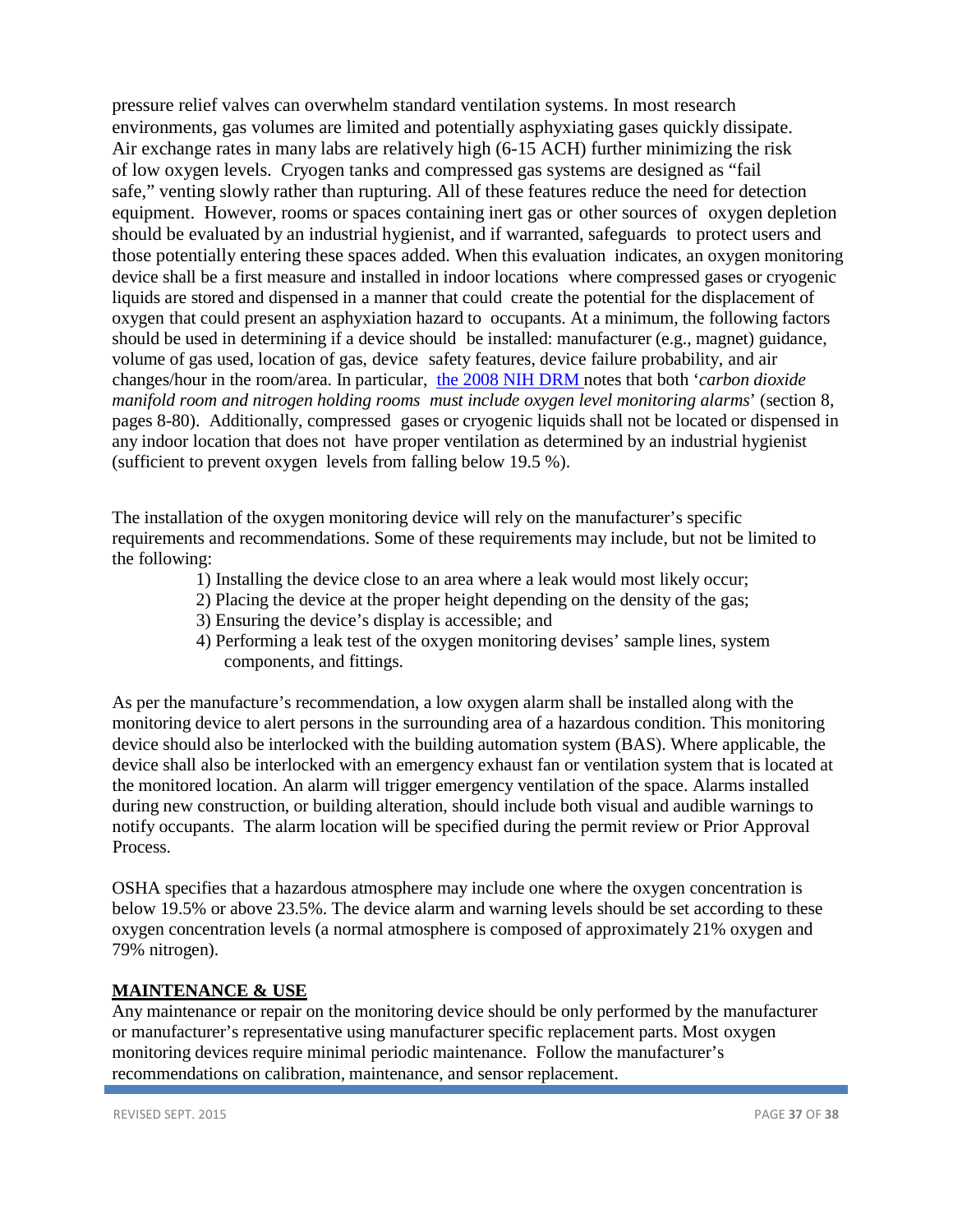pressure relief valves can overwhelm standard ventilation systems. In most research environments, gas volumes are limited and potentially asphyxiating gases quickly dissipate. Air exchange rates in many labs are relatively high (6-15 ACH) further minimizing the risk of low oxygen levels. Cryogen tanks and compressed gas systems are designed as "fail safe," venting slowly rather than rupturing. All of these features reduce the need for detection equipment. However, rooms or spaces containing inert gas or other sources of oxygen depletion should be evaluated by an industrial hygienist, and if warranted, safeguards to protect users and those potentially entering these spaces added. When this evaluation indicates, an oxygen monitoring device shall be a first measure and installed in indoor locations where compressed gases or cryogenic liquids are stored and dispensed in a manner that could create the potential for the displacement of oxygen that could present an asphyxiation hazard to occupants. At a minimum, the following factors should be used in determining if a device should be installed: manufacturer (e.g., magnet) guidance, volume of gas used, location of gas, device safety features, device failure probability, and air changes/hour in the room/area. In particular, [the 2008 NIH](http://orf.od.nih.gov/PoliciesAndGuidelines/BiomedicalandAnimalResearchFacilitiesDesignPoliciesandGuidelines/Pages/DesignRequirementsManualPDF.aspx) DRM notes that both '*carbon dioxide manifold room and nitrogen holding rooms must include oxygen level monitoring alarms*' (section 8, pages 8-80). Additionally, compressed gases or cryogenic liquids shall not be located or dispensed in any indoor location that does not have proper ventilation as determined by an industrial hygienist (sufficient to prevent oxygen levels from falling below 19.5 %).

The installation of the oxygen monitoring device will rely on the manufacturer's specific requirements and recommendations. Some of these requirements may include, but not be limited to the following:

- 1) Installing the device close to an area where a leak would most likely occur;
- 2) Placing the device at the proper height depending on the density of the gas;
- 3) Ensuring the device's display is accessible; and
- 4) Performing a leak test of the oxygen monitoring devises' sample lines, system components, and fittings.

As per the manufacture's recommendation, a low oxygen alarm shall be installed along with the monitoring device to alert persons in the surrounding area of a hazardous condition. This monitoring device should also be interlocked with the building automation system (BAS). Where applicable, the device shall also be interlocked with an emergency exhaust fan or ventilation system that is located at the monitored location. An alarm will trigger emergency ventilation of the space. Alarms installed during new construction, or building alteration, should include both visual and audible warnings to notify occupants. The alarm location will be specified during the permit review or Prior Approval Process.

OSHA specifies that a hazardous atmosphere may include one where the oxygen concentration is below 19.5% or above 23.5%. The device alarm and warning levels should be set according to these oxygen concentration levels (a normal atmosphere is composed of approximately 21% oxygen and 79% nitrogen).

### **MAINTENANCE & USE**

Any maintenance or repair on the monitoring device should be only performed by the manufacturer or manufacturer's representative using manufacturer specific replacement parts. Most oxygen monitoring devices require minimal periodic maintenance. Follow the manufacturer's recommendations on calibration, maintenance, and sensor replacement.